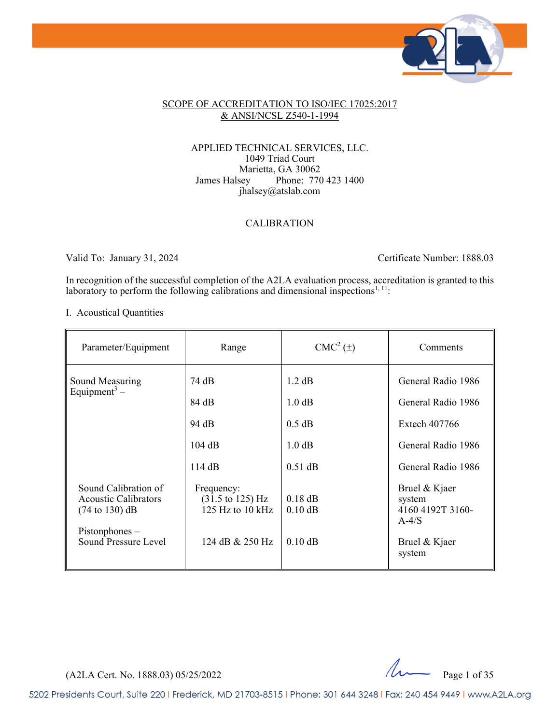

#### SCOPE OF ACCREDITATION TO ISO/IEC 17025:2017 & ANSI/NCSL Z540-1-1994

#### APPLIED TECHNICAL SERVICES, LLC. 1049 Triad Court Marietta, GA 30062 James Halsey Phone: 770 423 1400 jhalsey@atslab.com

#### CALIBRATION

Valid To: January 31, 2024 Certificate Number: 1888.03

In recognition of the successful completion of the A2LA evaluation process, accreditation is granted to this laboratory to perform the following calibrations and dimensional inspections<sup>1, 11</sup>:

I. Acoustical Quantities

| Parameter/Equipment                                                                      | Range                                                                   | $CMC2(\pm)$            | Comments                                               |
|------------------------------------------------------------------------------------------|-------------------------------------------------------------------------|------------------------|--------------------------------------------------------|
| Sound Measuring<br>Equipment <sup>3</sup> –                                              | 74 dB                                                                   | 1.2 dB                 | General Radio 1986                                     |
|                                                                                          | 84 dB                                                                   | 1.0 dB                 | General Radio 1986                                     |
|                                                                                          | 94 dB                                                                   | $0.5$ dB               | Extech 407766                                          |
|                                                                                          | 104 dB                                                                  | $1.0 \text{ dB}$       | General Radio 1986                                     |
|                                                                                          | 114dB                                                                   | $0.51$ dB              | General Radio 1986                                     |
| Sound Calibration of<br><b>Acoustic Calibrators</b><br>$(74 \text{ to } 130) \text{ dB}$ | Frequency:<br>$(31.5 \text{ to } 125) \text{ Hz}$<br>125 Hz to $10$ kHz | $0.18$ dB<br>$0.10$ dB | Bruel & Kjaer<br>system<br>4160 4192T 3160-<br>$A-4/S$ |
| $P$ istonphones –<br>Sound Pressure Level                                                | 124 dB & 250 Hz                                                         | $0.10$ dB              | Bruel & Kjaer<br>system                                |

 $(A2LA$  Cert. No. 1888.03) 05/25/2022  $\mu$  Page 1 of 35

5202 Presidents Court, Suite 220 | Frederick, MD 21703-8515 | Phone: 301 644 3248 | Fax: 240 454 9449 | www.A2LA.org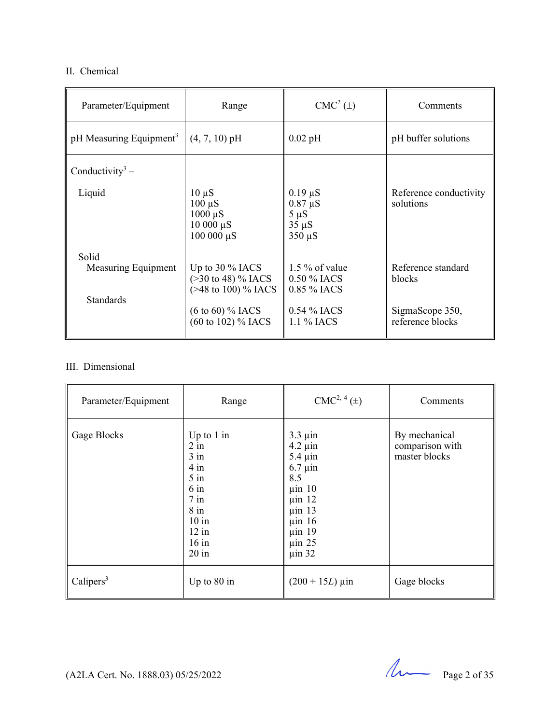#### II. Chemical

| Parameter/Equipment                 | Range                                                                        | $CMC2(\pm)$                                                            | Comments                            |
|-------------------------------------|------------------------------------------------------------------------------|------------------------------------------------------------------------|-------------------------------------|
| pH Measuring Equipment <sup>3</sup> | $(4, 7, 10)$ pH                                                              | $0.02$ pH                                                              | pH buffer solutions                 |
| Conductivity <sup>3</sup> –         |                                                                              |                                                                        |                                     |
| Liquid                              | $10 \mu S$<br>$100 \mu S$<br>$1000 \mu S$<br>$10000 \mu S$<br>$100000 \mu S$ | $0.19 \mu S$<br>$0.87 \mu S$<br>$5 \mu S$<br>$35 \mu S$<br>$350 \mu S$ | Reference conductivity<br>solutions |
| Solid                               |                                                                              |                                                                        |                                     |
| Measuring Equipment                 | Up to $30\%$ IACS<br>$(>30 \text{ to } 48)$ % IACS<br>$($ >48 to 100) % IACS | 1.5 $\%$ of value<br>0.50 % IACS<br>0.85 % IACS                        | Reference standard<br>blocks        |
| <b>Standards</b>                    |                                                                              |                                                                        |                                     |
|                                     | $(6 \text{ to } 60)$ % IACS<br>$(60 \text{ to } 102)$ % IACS                 | $0.54\%$ IACS<br>1.1 % IACS                                            | SigmaScope 350,<br>reference blocks |

### III. Dimensional

| Parameter/Equipment | Range                                                                                                                          | $CMC2, 4(\pm)$                                                                                                                                                               | Comments                                          |
|---------------------|--------------------------------------------------------------------------------------------------------------------------------|------------------------------------------------------------------------------------------------------------------------------------------------------------------------------|---------------------------------------------------|
| Gage Blocks         | Up to $1$ in<br>$2$ in<br>$3$ in<br>$4$ in<br>$5$ in<br>$6$ in<br>$7$ in<br>$8$ in<br>$10$ in<br>$12$ in<br>$16$ in<br>$20$ in | $3.3 \mu$ in<br>$4.2 \mu$ in<br>$5.4 \mu$ in<br>$6.7 \mu$ in<br>8.5<br>$\mu$ in 10<br>$\mu$ in 12<br>$\mu$ in 13<br>$\mu$ in 16<br>$\mu$ in 19<br>$\mu$ in 25<br>$\mu$ in 32 | By mechanical<br>comparison with<br>master blocks |
| Calipers $3$        | Up to 80 in                                                                                                                    | $(200 + 15L) \,\mu \text{in}$                                                                                                                                                | Gage blocks                                       |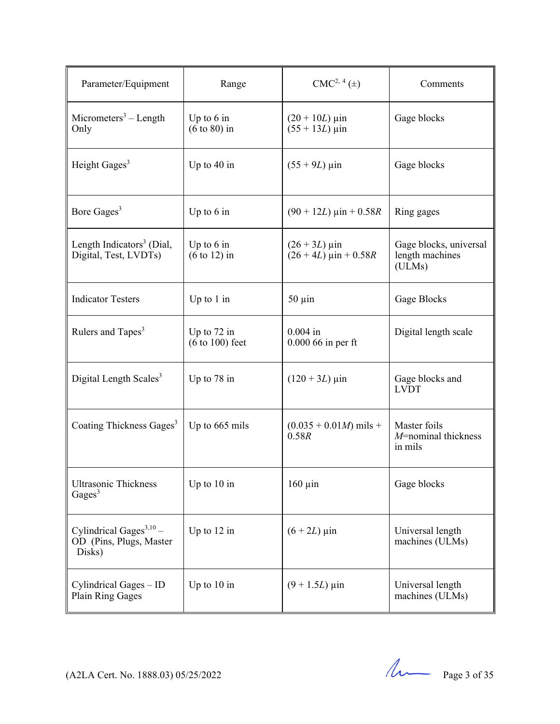| Parameter/Equipment                                             | Range                                   | $CMC2, 4(\pm)$                                                              | Comments                                            |
|-----------------------------------------------------------------|-----------------------------------------|-----------------------------------------------------------------------------|-----------------------------------------------------|
| Micrometers <sup>3</sup> – Length<br>Only                       | Up to $6$ in<br>$(6 \text{ to } 80)$ in | $(20 + 10L)$ µin<br>$(55 + 13L)$ µin                                        | Gage blocks                                         |
| Height Gages <sup>3</sup>                                       | Up to $40$ in                           | $(55 + 9L)$ µin                                                             | Gage blocks                                         |
| Bore Gages <sup>3</sup>                                         | Up to $6$ in                            | $(90 + 12L) \text{ } \mu \text{ in } + 0.58R$                               | Ring gages                                          |
| Length Indicators <sup>3</sup> (Dial,<br>Digital, Test, LVDTs)  | Up to $6$ in<br>$(6 \text{ to } 12)$ in | $(26 + 3L) \,\mu \text{in}$<br>$(26 + 4L) \text{ } \mu \text{ in } + 0.58R$ | Gage blocks, universal<br>length machines<br>(ULMs) |
| <b>Indicator Testers</b>                                        | Up to $1$ in                            | $50 \mu$ in                                                                 | Gage Blocks                                         |
| Rulers and Tapes <sup>3</sup>                                   | Up to $72$ in<br>$(6 to 100)$ feet      | $0.004$ in<br>$0.00066$ in per ft                                           | Digital length scale                                |
| Digital Length Scales <sup>3</sup>                              | Up to $78$ in                           | $(120 + 3L) \,\mu \text{in}$                                                | Gage blocks and<br><b>LVDT</b>                      |
| Coating Thickness Gages <sup>3</sup>                            | Up to 665 mils                          | $(0.035 + 0.01M)$ mils +<br>0.58R                                           | Master foils<br>$M$ =nominal thickness<br>in mils   |
| <b>Ultrasonic Thickness</b><br>Gages <sup>3</sup>               | Up to $10$ in                           | $160 \mu$ in                                                                | Gage blocks                                         |
| Cylindrical Gages $3,10$ -<br>OD (Pins, Plugs, Master<br>Disks) | Up to $12$ in                           | $(6 + 2L) \,\mu$ in                                                         | Universal length<br>machines (ULMs)                 |
| Cylindrical Gages - ID<br>Plain Ring Gages                      | Up to $10$ in                           | $(9 + 1.5L)$ µin                                                            | Universal length<br>machines (ULMs)                 |

 $(122A$  Cert. No. 1888.03) 05/25/2022 Page 3 of 35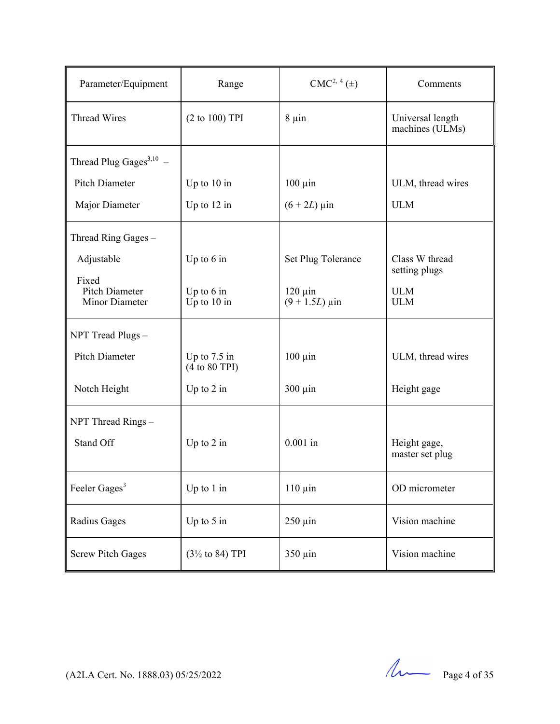| Parameter/Equipment                              | Range                           | $CMC2, 4(\pm)$                   | Comments                            |
|--------------------------------------------------|---------------------------------|----------------------------------|-------------------------------------|
| <b>Thread Wires</b>                              | (2 to 100) TPI                  | $8 \mu$ in                       | Universal length<br>machines (ULMs) |
| Thread Plug Gages $^{3,10}$ –                    |                                 |                                  |                                     |
| <b>Pitch Diameter</b>                            | Up to $10$ in                   | $100 \mu$ in                     | ULM, thread wires                   |
| Major Diameter                                   | Up to $12$ in                   | $(6 + 2L) \,\mu$ in              | <b>ULM</b>                          |
| Thread Ring Gages -                              |                                 |                                  |                                     |
| Adjustable                                       | Up to 6 in                      | Set Plug Tolerance               | Class W thread<br>setting plugs     |
| Fixed<br><b>Pitch Diameter</b><br>Minor Diameter | Up to $6$ in<br>Up to $10$ in   | $120 \mu$ in<br>$(9 + 1.5L)$ µin | <b>ULM</b><br><b>ULM</b>            |
| NPT Tread Plugs-                                 |                                 |                                  |                                     |
| Pitch Diameter                                   | Up to $7.5$ in<br>(4 to 80 TPI) | $100 \mu$ in                     | ULM, thread wires                   |
| Notch Height                                     | Up to $2$ in                    | $300 \mu$ in                     | Height gage                         |
| NPT Thread Rings -                               |                                 |                                  |                                     |
| Stand Off                                        | Up to $2$ in                    | $0.001$ in                       | Height gage,<br>master set plug     |
| Feeler Gages <sup>3</sup>                        | Up to $1$ in                    | $110 \mu$ in                     | OD micrometer                       |
| Radius Gages                                     | Up to $5$ in                    | $250 \mu$ in                     | Vision machine                      |
| <b>Screw Pitch Gages</b>                         | $(3\frac{1}{2}$ to 84) TPI      | 350 µin                          | Vision machine                      |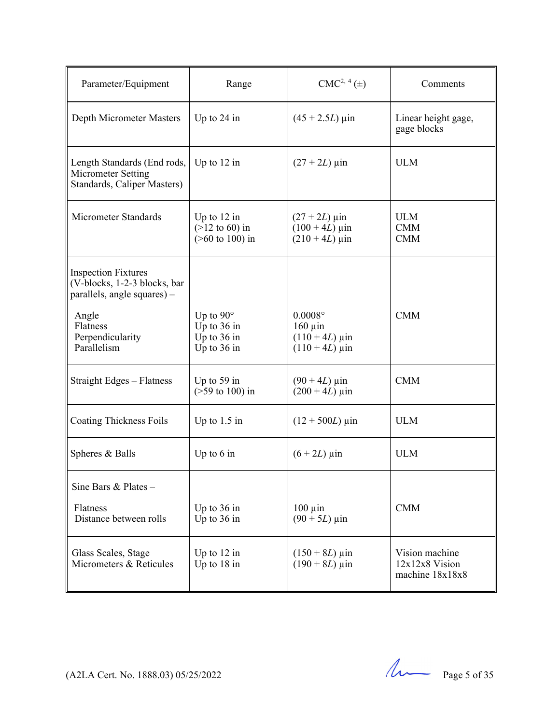| Parameter/Equipment                                                                       | Range                                                               | $CMC2, 4(\pm)$                                                                  | Comments                                            |
|-------------------------------------------------------------------------------------------|---------------------------------------------------------------------|---------------------------------------------------------------------------------|-----------------------------------------------------|
| Depth Micrometer Masters                                                                  | Up to $24$ in                                                       | $(45 + 2.5L) \,\mu\text{in}$                                                    | Linear height gage,<br>gage blocks                  |
| Length Standards (End rods,<br>Micrometer Setting<br>Standards, Caliper Masters)          | Up to $12$ in                                                       | $(27 + 2L) \,\mu m$                                                             | <b>ULM</b>                                          |
| Micrometer Standards                                                                      | Up to $12$ in<br>$(>12 \text{ to } 60)$ in<br>$($ >60 to 100) in    | $(27 + 2L)$ µin<br>$(100 + 4L) \,\mu \text{in}$<br>$(210 + 4L) \,\mu \text{in}$ | <b>ULM</b><br><b>CMM</b><br><b>CMM</b>              |
| <b>Inspection Fixtures</b><br>(V-blocks, 1-2-3 blocks, bar<br>parallels, angle squares) - |                                                                     |                                                                                 |                                                     |
| Angle<br>Flatness<br>Perpendicularity<br>Parallelism                                      | Up to $90^\circ$<br>Up to $36$ in<br>Up to $36$ in<br>Up to $36$ in | $0.0008$ °<br>$160 \mu$ in<br>$(110 + 4L)$ µin<br>$(110 + 4L) \,\mu \text{in}$  | <b>CMM</b>                                          |
| Straight Edges - Flatness                                                                 | Up to $59$ in<br>$($ >59 to 100) in                                 | $(90 + 4L) \,\mu \text{in}$<br>$(200 + 4L) \,\mu \text{in}$                     | <b>CMM</b>                                          |
| <b>Coating Thickness Foils</b>                                                            | Up to $1.5$ in                                                      | $(12 + 500L)$ µin                                                               | <b>ULM</b>                                          |
| Spheres & Balls                                                                           | Up to $6$ in                                                        | $(6 + 2L) \,\mu$ in                                                             | <b>ULM</b>                                          |
| Sine Bars & Plates -                                                                      |                                                                     |                                                                                 |                                                     |
| Flatness<br>Distance between rolls                                                        | Up to $36$ in<br>Up to $36$ in                                      | $100 \mu$ in<br>$(90 + 5L)$ µin                                                 | <b>CMM</b>                                          |
| Glass Scales, Stage<br>Micrometers & Reticules                                            | Up to $12$ in<br>Up to 18 in                                        | $(150 + 8L) \,\mu \text{in}$<br>$(190 + 8L) \,\mu \text{in}$                    | Vision machine<br>12x12x8 Vision<br>machine 18x18x8 |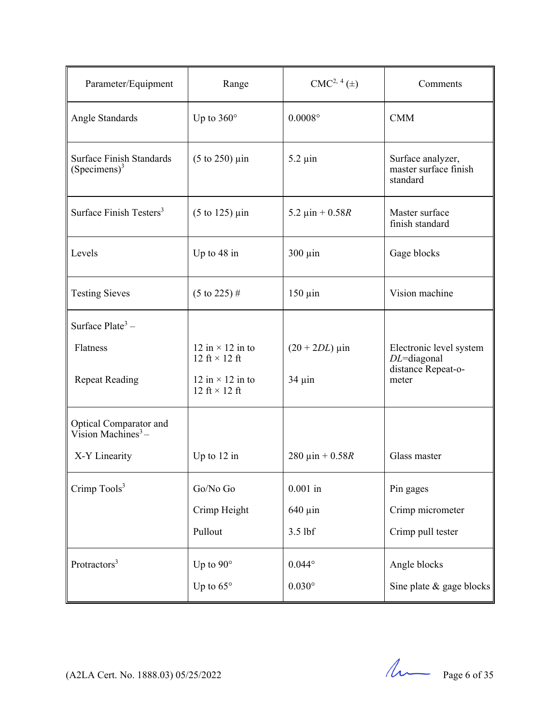| Parameter/Equipment                                                           | Range                                           | $CMC2, 4(\pm)$               | Comments                                                        |
|-------------------------------------------------------------------------------|-------------------------------------------------|------------------------------|-----------------------------------------------------------------|
| Angle Standards                                                               | Up to $360^\circ$                               | $0.0008^\circ$               | <b>CMM</b>                                                      |
| <b>Surface Finish Standards</b><br>$(S$ pecimens $)^3$                        | $(5 \text{ to } 250) \text{ } \mu \text{in}$    | $5.2 \mu$ in                 | Surface analyzer,<br>master surface finish<br>standard          |
| Surface Finish Testers <sup>3</sup>                                           | $(5 \text{ to } 125)$ µin                       | 5.2 $\mu$ in + 0.58R         | Master surface<br>finish standard                               |
| Levels                                                                        | Up to $48$ in                                   | $300 \mu$ in                 | Gage blocks                                                     |
| <b>Testing Sieves</b>                                                         | $(5 \text{ to } 225)$ #                         | $150 \mu$ in                 | Vision machine                                                  |
| Surface Plate <sup>3</sup> –                                                  |                                                 |                              |                                                                 |
| Flatness                                                                      | 12 in $\times$ 12 in to<br>12 ft $\times$ 12 ft | $(20 + 2DL) \,\mu \text{in}$ | Electronic level system<br>$DL$ =diagonal<br>distance Repeat-o- |
| <b>Repeat Reading</b>                                                         | 12 in $\times$ 12 in to<br>12 ft $\times$ 12 ft | $34 \mu$ in                  | meter                                                           |
| Optical Comparator and<br>$\overline{\text{V}}$ ision Machines <sup>3</sup> – |                                                 |                              |                                                                 |
| X-Y Linearity                                                                 | Up to $12$ in                                   | 280 $\mu$ in + 0.58R         | Glass master                                                    |
| Crimp Tools <sup>3</sup>                                                      | Go/No Go                                        | $0.001$ in                   | Pin gages                                                       |
|                                                                               | Crimp Height                                    | $640 \mu$ in                 | Crimp micrometer                                                |
|                                                                               | Pullout                                         | 3.5 lbf                      | Crimp pull tester                                               |
| Protractors <sup>3</sup>                                                      | Up to $90^\circ$                                | $0.044^{\circ}$              | Angle blocks                                                    |
|                                                                               | Up to $65^\circ$                                | $0.030^\circ$                | Sine plate & gage blocks                                        |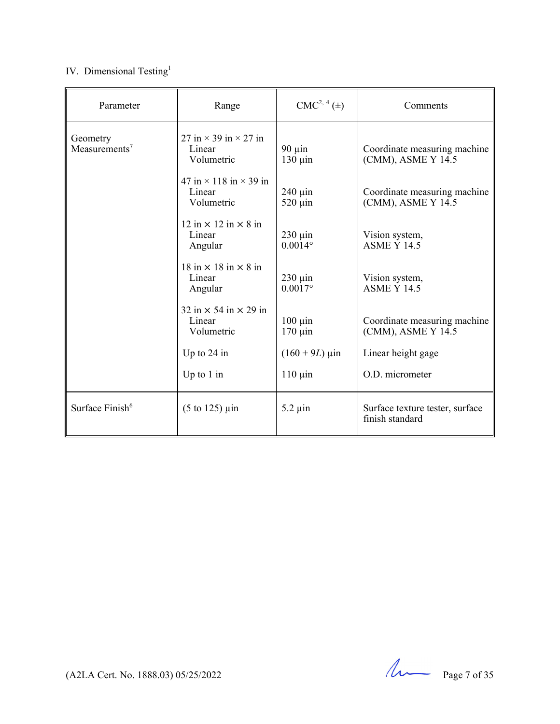# IV. Dimensional Testing<sup>1</sup>

| Parameter                             | Range                                                                             | $CMC2, 4(\pm)$                   | Comments                                           |
|---------------------------------------|-----------------------------------------------------------------------------------|----------------------------------|----------------------------------------------------|
| Geometry<br>Measurements <sup>7</sup> | 27 in $\times$ 39 in $\times$ 27 in<br>Linear<br>Volumetric                       | $90 \mu$ in<br>$130 \mu$ in      | Coordinate measuring machine<br>(CMM), ASME Y 14.5 |
|                                       | 47 in $\times$ 118 in $\times$ 39 in<br>Linear<br>Volumetric                      | $240 \mu$ in<br>$520 \mu$ in     | Coordinate measuring machine<br>(CMM), ASME Y 14.5 |
|                                       | $12 \text{ in} \times 12 \text{ in} \times 8 \text{ in}$<br>Linear<br>Angular     | $230 \mu$ in<br>$0.0014^{\circ}$ | Vision system,<br><b>ASME Y 14.5</b>               |
|                                       | 18 in $\times$ 18 in $\times$ 8 in<br>Linear<br>Angular                           | $230 \mu$ in<br>$0.0017$ °       | Vision system,<br><b>ASME Y 14.5</b>               |
|                                       | $32 \text{ in} \times 54 \text{ in} \times 29 \text{ in}$<br>Linear<br>Volumetric | $100 \mu$ in<br>$170 \mu$ in     | Coordinate measuring machine<br>(CMM), ASME Y 14.5 |
|                                       | Up to $24$ in                                                                     | $(160 + 9L) \,\mu \text{in}$     | Linear height gage                                 |
|                                       | Up to $1$ in                                                                      | $110 \mu$ in                     | O.D. micrometer                                    |
| Surface Finish <sup>6</sup>           | $(5 \text{ to } 125)$ µin                                                         | $5.2 \mu$ in                     | Surface texture tester, surface<br>finish standard |

(A2LA Cert. No. 1888.03) 05/25/2022 Page 7 of 35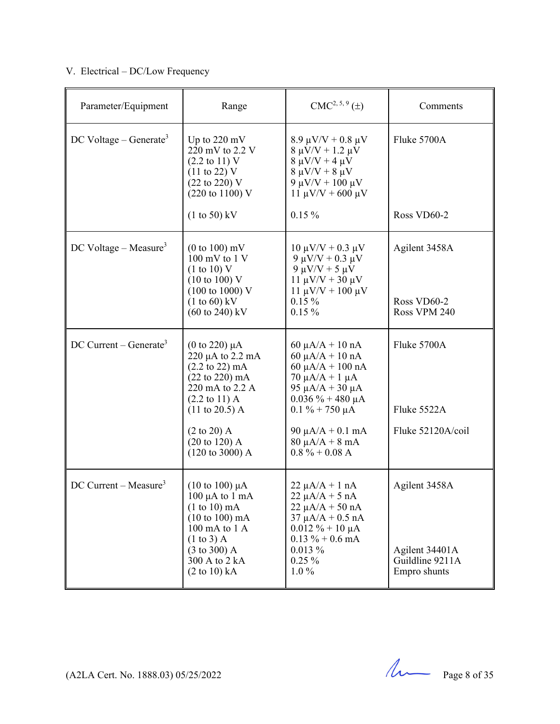# V. Electrical – DC/Low Frequency

| Parameter/Equipment                  | Range                                                                                                                                                                                                                                                                                              | $CMC2, 5, 9(\pm)$                                                                                                                                                                                                                          | Comments                                                           |
|--------------------------------------|----------------------------------------------------------------------------------------------------------------------------------------------------------------------------------------------------------------------------------------------------------------------------------------------------|--------------------------------------------------------------------------------------------------------------------------------------------------------------------------------------------------------------------------------------------|--------------------------------------------------------------------|
| DC Voltage – Generate <sup>3</sup>   | Up to $220 \text{ mV}$<br>220 mV to 2.2 V<br>$(2.2 \text{ to } 11) \text{ V}$<br>$(11 \text{ to } 22) \text{ V}$<br>(22 to 220) V<br>(220 to 1100) V                                                                                                                                               | $8.9 \mu V/V + 0.8 \mu V$<br>$8 \mu V/V + 1.2 \mu V$<br>$8 \mu V/V + 4 \mu V$<br>$8 \mu V/V + 8 \mu V$<br>9 μV/V + 100 μV<br>$11 \mu V/V + 600 \mu V$                                                                                      | Fluke 5700A                                                        |
|                                      | $(1 to 50)$ kV                                                                                                                                                                                                                                                                                     | $0.15 \%$                                                                                                                                                                                                                                  | Ross VD60-2                                                        |
| $DC$ Voltage – Measure <sup>3</sup>  | $(0 \text{ to } 100) \text{ mV}$<br>$100 \text{ mV}$ to $1 \text{ V}$<br>(1 to 10) V<br>$(10 \text{ to } 100)$ V<br>$(100 \text{ to } 1000) \text{ V}$<br>$(1 to 60)$ kV<br>$(60 \text{ to } 240) \text{ kV}$                                                                                      | $10 \mu V/V + 0.3 \mu V$<br>9 μV/V + 0.3 μV<br>$9 \mu V/V + 5 \mu V$<br>$11 \mu V/V + 30 \mu V$<br>$11 \mu V/V + 100 \mu V$<br>$0.15\%$<br>$0.15\%$                                                                                        | Agilent 3458A<br>Ross VD60-2<br>Ross VPM 240                       |
| $DC$ Current – Generate <sup>3</sup> | (0 to 220) $\mu$ A<br>$220 \mu A$ to $2.2 \mu A$<br>$(2.2 \text{ to } 22) \text{ mA}$<br>$(22 \text{ to } 220) \text{ mA}$<br>220 mA to 2.2 A<br>$(2.2 \text{ to } 11) \text{ A}$<br>$(11 \text{ to } 20.5)$ A<br>$(2 \text{ to } 20)$ A<br>$(20 \text{ to } 120)$ A<br>$(120 \text{ to } 3000)$ A | $60 \mu A/A + 10 nA$<br>$60 \mu A/A + 10 nA$<br>$60 \mu A/A + 100 \text{ nA}$<br>$70 \mu A/A + 1 \mu A$<br>95 μA/A + 30 μA<br>$0.036 \% + 480 \mu A$<br>$0.1\% + 750 \mu A$<br>90 μA/A + 0.1 mA<br>$80 \mu A/A + 8 mA$<br>$0.8\% + 0.08$ A | Fluke 5700A<br>Fluke 5522A<br>Fluke 52120A/coil                    |
| $DC$ Current – Measure <sup>3</sup>  | $(10 \text{ to } 100) \mu\text{A}$<br>$100 \mu A$ to $1 \text{ mA}$<br>$(1 to 10)$ mA<br>$(10 \text{ to } 100) \text{ mA}$<br>100 mA to 1 A<br>$(1 \text{ to } 3)$ A<br>$(3 \text{ to } 300)$ A<br>300 A to 2 kA<br>$(2 \text{ to } 10) \text{ kA}$                                                | $22 \mu A/A + 1 nA$<br>$22 \mu A/A + 5 nA$<br>$22 \mu A/A + 50 nA$<br>$37 \mu A/A + 0.5 \text{ nA}$<br>$0.012 \% + 10 \mu A$<br>$0.13 \% + 0.6$ mA<br>$0.013\%$<br>$0.25\%$<br>$1.0\%$                                                     | Agilent 3458A<br>Agilent 34401A<br>Guildline 9211A<br>Empro shunts |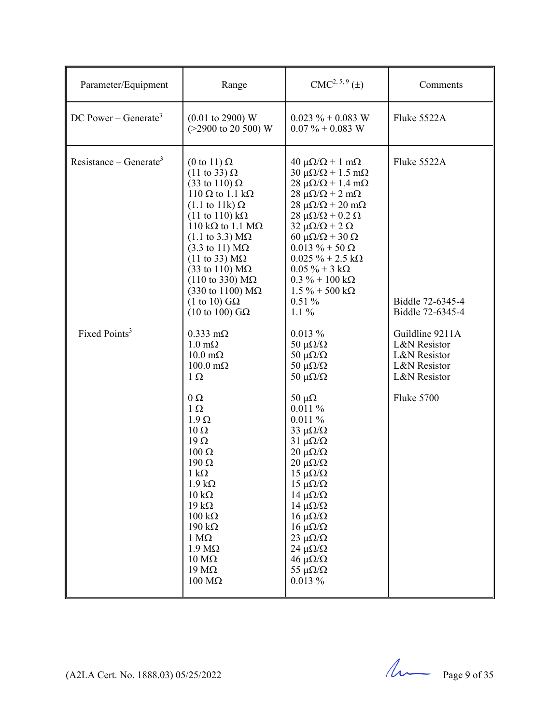| Parameter/Equipment                | Range                                                                                                                                                                                                                                                                                                                                                                                                                                                                                                                                                                     | $CMC2, 5, 9(\pm)$                                                                                                                                                                                                                                                                                                                                                                                                                                                                                    | Comments                                                                                      |
|------------------------------------|---------------------------------------------------------------------------------------------------------------------------------------------------------------------------------------------------------------------------------------------------------------------------------------------------------------------------------------------------------------------------------------------------------------------------------------------------------------------------------------------------------------------------------------------------------------------------|------------------------------------------------------------------------------------------------------------------------------------------------------------------------------------------------------------------------------------------------------------------------------------------------------------------------------------------------------------------------------------------------------------------------------------------------------------------------------------------------------|-----------------------------------------------------------------------------------------------|
| DC Power – Generate <sup>3</sup>   | $(0.01 \text{ to } 2900) \text{ W}$<br>$(>2900 \text{ to } 20500) \text{ W}$                                                                                                                                                                                                                                                                                                                                                                                                                                                                                              | $0.023 \% + 0.083 W$<br>$0.07\% + 0.083$ W                                                                                                                                                                                                                                                                                                                                                                                                                                                           | Fluke 5522A                                                                                   |
| Resistance – Generate <sup>3</sup> | $(0 \text{ to } 11) \Omega$<br>$(11 \text{ to } 33) \Omega$<br>$(33 \text{ to } 110) \Omega$<br>110 $\Omega$ to 1.1 k $\Omega$<br>$(1.1 \text{ to } 11 \text{k}) \Omega$<br>$(11 \text{ to } 110) \text{ k}\Omega$<br>110 k $\Omega$ to 1.1 M $\Omega$<br>$(1.1 \text{ to } 3.3) \text{ M}\Omega$<br>$(3.3 \text{ to } 11) \text{ M}\Omega$<br>$(11 \text{ to } 33) \text{ M}\Omega$<br>$(33 \text{ to } 110) \text{ M}\Omega$<br>$(110 \text{ to } 330) \text{ M}\Omega$<br>$(330 \text{ to } 1100) \text{ M}\Omega$<br>(1 to 10) $G\Omega$<br>$(10 \text{ to } 100)$ GQ | $40 \mu\Omega/\Omega + 1 \text{ m}\Omega$<br>$30 \mu\Omega/\Omega + 1.5 \text{ m}\Omega$<br>$28 \mu\Omega/\Omega + 1.4 \text{ m}\Omega$<br>$28 \mu\Omega/\Omega + 2 m\Omega$<br>$28 \mu\Omega/\Omega + 20 \text{ m}\Omega$<br>$28 \mu\Omega/\Omega + 0.2 \Omega$<br>$32 \mu\Omega/\Omega + 2 \Omega$<br>60 μ $\Omega/\Omega$ + 30 Ω<br>$0.013 \% + 50 \Omega$<br>$0.025 \% + 2.5 k\Omega$<br>$0.05 \% + 3 k\Omega$<br>$0.3 \% + 100 k\Omega$<br>$1.5\% + 500 \text{ k}\Omega$<br>$0.51\%$<br>$1.1\%$ | Fluke 5522A<br>Biddle 72-6345-4<br>Biddle 72-6345-4                                           |
| Fixed Points <sup>3</sup>          | $0.333$ m $\Omega$<br>$1.0 \text{ m}\Omega$<br>$10.0 \text{ m}\Omega$<br>$100.0 \text{ m}\Omega$<br>$1\Omega$<br>$\Omega$<br>$1 \Omega$<br>$1.9 \Omega$<br>$10 \Omega$<br>$19\Omega$<br>$100 \Omega$<br>$190 \Omega$<br>$1 k\Omega$<br>$1.9 \text{ k}\Omega$<br>$10 \text{ k}\Omega$<br>$19 k\Omega$<br>$100 \text{ k}\Omega$<br>$190 k\Omega$<br>$1 M\Omega$<br>$1.9 M\Omega$<br>$10 \text{ M}\Omega$<br>$19 \text{ M}\Omega$<br>$100 \text{ M}\Omega$                                                                                                                   | $0.013\%$<br>50 $\mu\Omega/\Omega$<br>50 $\mu\Omega/\Omega$<br>50 $\mu\Omega/\Omega$<br>50 $\mu\Omega/\Omega$<br>50 $\mu\Omega$<br>0.011%<br>0.011%<br>33 $\mu\Omega/\Omega$<br>$31 \muΩ/Ω$<br>$20 \mu\Omega/\Omega$<br>$20 \mu\Omega/\Omega$<br>$15 \mu\Omega/\Omega$<br>$15 \muΩ/Ω$<br>$14 \mu\Omega/\Omega$<br>$14 \mu\Omega/\Omega$<br>$16 \mu\Omega/\Omega$<br>$16$ μΩ/Ω<br>$23 \mu\Omega/\Omega$<br>$24 \mu\Omega/\Omega$<br>$46 \mu\Omega/\Omega$<br>55 $\mu\Omega/\Omega$<br>$0.013\%$       | Guildline 9211A<br>L&N Resistor<br>L&N Resistor<br>L&N Resistor<br>L&N Resistor<br>Fluke 5700 |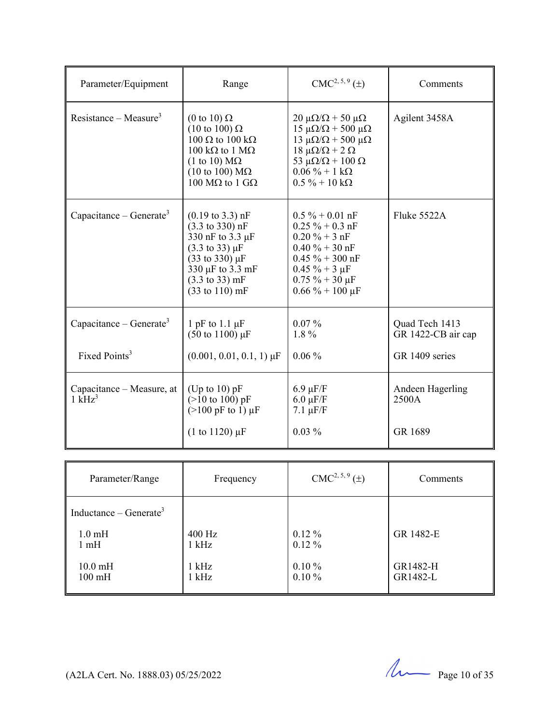| Parameter/Equipment                            | Range                                                                                                                                                                                                                                                               | $CMC2, 5, 9(\pm)$                                                                                                                                                                                                                                | Comments                             |
|------------------------------------------------|---------------------------------------------------------------------------------------------------------------------------------------------------------------------------------------------------------------------------------------------------------------------|--------------------------------------------------------------------------------------------------------------------------------------------------------------------------------------------------------------------------------------------------|--------------------------------------|
| Resistance – Measure <sup>3</sup>              | (0 to 10) $\Omega$<br>$(10 \text{ to } 100) \Omega$<br>100 $\Omega$ to 100 k $\Omega$<br>100 k $\Omega$ to 1 M $\Omega$<br>$(1 \text{ to } 10) \text{ M}\Omega$<br>$(10 \text{ to } 100) \text{ M}\Omega$<br>100 MΩ to 1 GΩ                                         | $20 \mu\Omega/\Omega$ + 50 $\mu\Omega$<br>15 μ $\Omega/\Omega$ + 500 μ $\Omega$<br>13 μ $\Omega/\Omega$ + 500 μ $\Omega$<br>$18 \mu\Omega/\Omega$ + 2 Ω<br>53 $\mu\Omega/\Omega$ + 100 $\Omega$<br>$0.06 \% + 1 k\Omega$<br>$0.5\% + 10 k\Omega$ | Agilent 3458A                        |
| Capacitance – Generate <sup>3</sup>            | $(0.19 \text{ to } 3.3) \text{ nF}$<br>$(3.3 \text{ to } 330) \text{ nF}$<br>330 nF to 3.3 µF<br>$(3.3 \text{ to } 33) \mu F$<br>$(33 \text{ to } 330) \,\mu\text{F}$<br>330 µF to 3.3 mF<br>$(3.3 \text{ to } 33) \text{ mF}$<br>$(33 \text{ to } 110) \text{ mF}$ | $0.5\% + 0.01$ nF<br>$0.25 \% + 0.3 nF$<br>$0.20 \% + 3 nF$<br>$0.40 \% + 30 nF$<br>$0.45 \% + 300$ nF<br>$0.45 \% + 3 \mu F$<br>$0.75 \% + 30 \mu F$<br>$0.66\% + 100 \,\mu F$                                                                  | Fluke 5522A                          |
| Capacitance – Generate <sup>3</sup>            | 1 pF to 1.1 $\mu$ F<br>$(50 \text{ to } 1100) \mu F$                                                                                                                                                                                                                | $0.07\%$<br>1.8%                                                                                                                                                                                                                                 | Quad Tech 1413<br>GR 1422-CB air cap |
| Fixed Points <sup>3</sup>                      | $(0.001, 0.01, 0.1, 1) \mu F$                                                                                                                                                                                                                                       | $0.06\%$                                                                                                                                                                                                                                         | GR 1409 series                       |
| Capacitance – Measure, at<br>$1 \text{ kHz}^3$ | (Up to 10) $pF$<br>$(>10 \text{ to } 100) \text{ pF}$<br>$(>100 \text{ pF to } 1) \mu \text{F}$                                                                                                                                                                     | $6.9 \mu F/F$<br>$6.0 \mu F/F$<br>$7.1 \mu F/F$                                                                                                                                                                                                  | Andeen Hagerling<br>2500A            |
|                                                | $(1 to 1120) \mu F$                                                                                                                                                                                                                                                 | $0.03\%$                                                                                                                                                                                                                                         | GR 1689                              |

| Parameter/Range                    | Frequency | $CMC2, 5, 9(\pm)$ | Comments  |
|------------------------------------|-----------|-------------------|-----------|
| Inductance – Generate <sup>3</sup> |           |                   |           |
| $1.0 \text{ mH}$                   | 400 Hz    | $0.12\%$          | GR 1482-E |
| $1 \text{ mH}$                     | $1$ kHz   | $0.12\%$          |           |
| $10.0 \text{ mH}$                  | 1 kHz     | $0.10 \%$         | GR1482-H  |
| $100 \text{ mH}$                   | $1$ kHz   | $0.10 \%$         | GR1482-L  |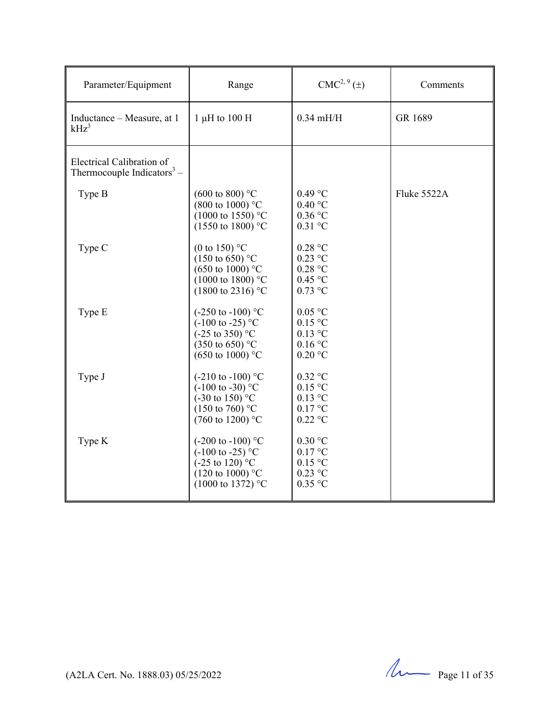| Parameter/Equipment                                                 | Range                                                                                                                                                           | $CMC2, 9(\pm)$                                                | Comments    |
|---------------------------------------------------------------------|-----------------------------------------------------------------------------------------------------------------------------------------------------------------|---------------------------------------------------------------|-------------|
| Inductance – Measure, at 1<br>$kHz^3$                               | 1 $\mu$ H to 100 H                                                                                                                                              | $0.34$ mH/H                                                   | GR 1689     |
| Electrical Calibration of<br>Thermocouple Indicators <sup>3</sup> – |                                                                                                                                                                 |                                                               |             |
| Type B                                                              | $(600 \text{ to } 800)$ °C<br>$(800 \text{ to } 1000)$ °C<br>$(1000 \text{ to } 1550)$ °C<br>$(1550 \text{ to } 1800)$ °C                                       | $0.49$ °C<br>0.40 °C<br>$0.36$ °C<br>$0.31$ °C                | Fluke 5522A |
| Type C                                                              | (0 to 150) $^{\circ}$ C<br>$(150 \text{ to } 650)$ °C<br>$(650 \text{ to } 1000)$ °C<br>$(1000 \text{ to } 1800)$ °C<br>$(1800 \text{ to } 2316)$ °C            | $0.28$ °C<br>$0.23$ °C<br>0.28 °C<br>$0.45$ °C<br>$0.73$ °C   |             |
| Type E                                                              | $(-250 \text{ to } -100)$ °C<br>$(-100 \text{ to } -25)$ °C<br>$(-25 \text{ to } 350)^{\circ}$ C<br>$(350 \text{ to } 650)$ °C<br>$(650 \text{ to } 1000)$ °C   | $0.05$ °C<br>$0.15$ °C<br>$0.13$ °C<br>$0.16$ °C<br>$0.20$ °C |             |
| Type J                                                              | $(-210 \text{ to } -100)$ °C<br>$(-100 \text{ to } -30)$ °C<br>$(-30 \text{ to } 150)$ °C<br>$(150 \text{ to } 760)$ °C<br>$(760 \text{ to } 1200)$ °C          | $0.32$ °C<br>$0.15$ °C<br>$0.13$ °C<br>$0.17$ °C<br>$0.22$ °C |             |
| Type K                                                              | $(-200 \text{ to } -100)$ °C<br>$(-100 \text{ to } -25)$ °C<br>$(-25 \text{ to } 120)^{\circ}$ C<br>$(120 \text{ to } 1000)$ °C<br>$(1000 \text{ to } 1372)$ °C | $0.30$ °C<br>$0.17$ °C<br>$0.15$ °C<br>$0.23$ °C<br>$0.35$ °C |             |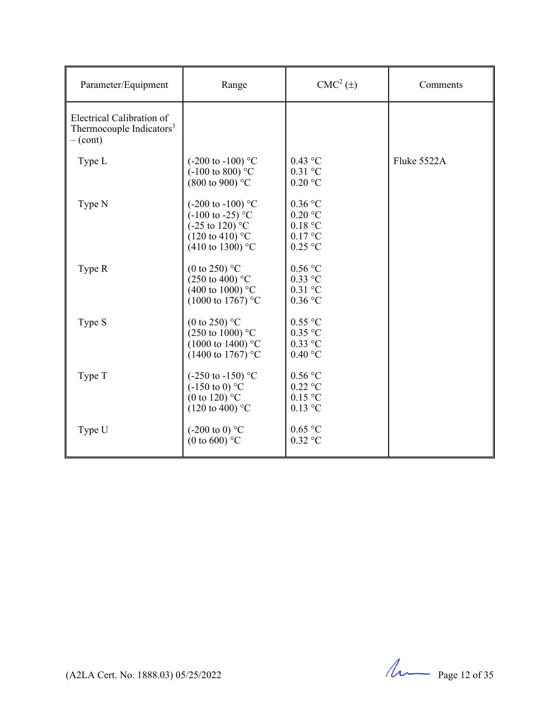| Parameter/Equipment                                                                   | Range                                                                                                                                                  | $CMC2(\pm)$                                                 | Comments    |
|---------------------------------------------------------------------------------------|--------------------------------------------------------------------------------------------------------------------------------------------------------|-------------------------------------------------------------|-------------|
| Electrical Calibration of<br>Thermocouple Indicators <sup>3</sup><br>$-(\text{cont})$ |                                                                                                                                                        |                                                             |             |
| Type L                                                                                | $(-200 \text{ to } -100)$ °C<br>$(-100 \text{ to } 800)$ °C<br>$(800 \text{ to } 900)$ °C                                                              | $0.43$ °C<br>$0.31$ °C<br>$0.20\text{ °C}$                  | Fluke 5522A |
| Type N                                                                                | $(-200 \text{ to } -100)$ °C<br>$(-100 \text{ to } -25)$ °C<br>$(-25 \text{ to } 120)$ °C<br>$(120 \text{ to } 410)$ °C<br>$(410 \text{ to } 1300)$ °C | $0.36$ °C<br>$0.20$ °C<br>0.18 °C<br>$0.17$ °C<br>$0.25$ °C |             |
| Type R                                                                                | (0 to 250) $^{\circ}$ C<br>$(250 \text{ to } 400)$ °C<br>(400 to 1000) $^{\circ}$ C<br>$(1000 \text{ to } 1767)$ °C                                    | $0.56$ °C<br>$0.33$ °C<br>$0.31$ °C<br>$0.36$ °C            |             |
| Type S                                                                                | (0 to 250) $^{\circ}$ C<br>$(250 \text{ to } 1000)$ °C<br>$(1000 \text{ to } 1400)$ °C<br>(1400 to 1767) °C                                            | $0.55$ °C<br>$0.35$ °C<br>$0.33$ °C<br>$0.40\text{ °C}$     |             |
| Type T                                                                                | $(-250 \text{ to } -150)$ °C<br>$(-150 \text{ to } 0)$ °C<br>(0 to 120) $^{\circ}$ C<br>$(120 \text{ to } 400)$ °C                                     | 0.56 °C<br>$0.22$ °C<br>0.15 °C<br>$0.13$ °C                |             |
| Type U                                                                                | $(-200 \text{ to } 0)$ °C<br>(0 to 600) $^{\circ}$ C                                                                                                   | $0.65$ °C<br>$0.32$ °C                                      |             |

 $(122A$  Cert. No. 1888.03) 05/25/2022 Page 12 of 35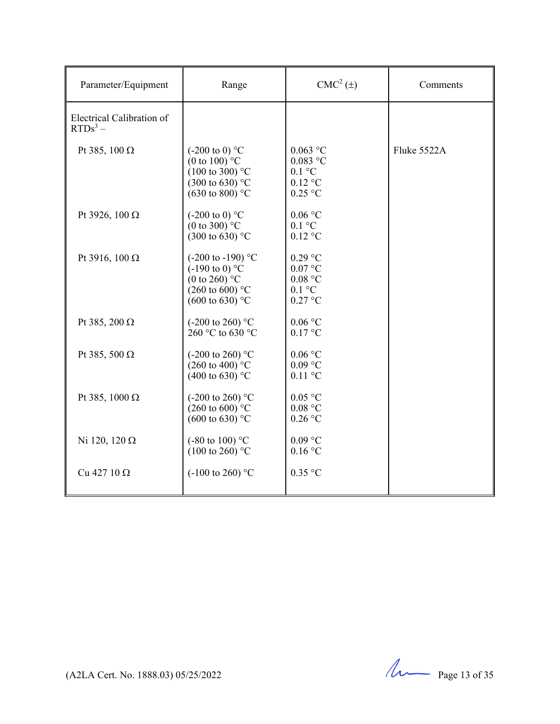| Parameter/Equipment                     | Range                                                                                                                                            | $CMC2(\pm)$                                                                          | Comments    |
|-----------------------------------------|--------------------------------------------------------------------------------------------------------------------------------------------------|--------------------------------------------------------------------------------------|-------------|
| Electrical Calibration of<br>$RTDs^3$ – |                                                                                                                                                  |                                                                                      |             |
| Pt 385, 100 $\Omega$                    | $(-200 \text{ to } 0)$ °C<br>(0 to 100) $^{\circ}$ C<br>$(100 \text{ to } 300)$ °C<br>$(300 \text{ to } 630)$ °C<br>$(630 \text{ to } 800)$ °C   | $0.063$ °C<br>$0.083$ °C<br>$0.1 \text{ }^{\circ}C$<br>$0.12$ °C<br>$0.25$ °C        | Fluke 5522A |
| Pt 3926, 100 $\Omega$                   | $(-200 \text{ to } 0)$ °C<br>(0 to 300) $^{\circ}$ C<br>$(300 \text{ to } 630)$ °C                                                               | $0.06$ °C<br>$0.1 \text{ }^{\circ}C$<br>$0.12$ °C                                    |             |
| Pt 3916, 100 Ω                          | $(-200 \text{ to } -190)$ °C<br>$(-190 \text{ to } 0)$ °C<br>(0 to 260) $^{\circ}$ C<br>$(260 \text{ to } 600)$ °C<br>$(600 \text{ to } 630)$ °C | $0.29$ °C<br>$0.07$ °C<br>$0.08\ ^{\circ}\textrm{C}$<br>$0.1 \degree C$<br>$0.27$ °C |             |
| Pt 385, 200 $\Omega$                    | $(-200 \text{ to } 260)$ °C<br>260 °C to 630 °C                                                                                                  | 0.06 °C<br>$0.17$ °C                                                                 |             |
| Pt 385, 500 $\Omega$                    | $(-200 \text{ to } 260)$ °C<br>$(260 \text{ to } 400)$ °C<br>$(400 \text{ to } 630)$ °C                                                          | 0.06 °C<br>$0.09$ °C<br>$0.11\text{ °C}$                                             |             |
| Pt 385, 1000 $\Omega$                   | $(-200 \text{ to } 260)$ °C<br>$(260 \text{ to } 600)^{\circ}$ C<br>$(600 \text{ to } 630)$ °C                                                   | $0.05$ °C<br>0.08 °C<br>$0.26$ °C                                                    |             |
| Ni 120, 120 $\Omega$                    | $(-80 \text{ to } 100)$ °C<br>$(100 \text{ to } 260)$ °C                                                                                         | $0.09\ ^{\circ}\textrm{C}$<br>$0.16$ °C                                              |             |
| Cu 427 10 $\Omega$                      | $(-100 \text{ to } 260)$ °C                                                                                                                      | $0.35$ °C                                                                            |             |

(A2LA Cert. No. 1888.03) 05/25/2022 Page 13 of 35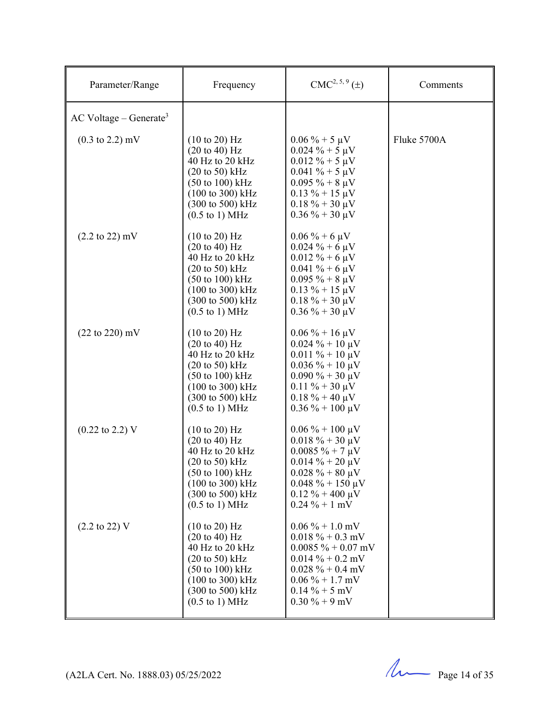| Parameter/Range                      | Frequency                                                                                                                                                                                                                                                             | $CMC2, 5, 9(\pm)$                                                                                                                                                                                              | Comments    |
|--------------------------------------|-----------------------------------------------------------------------------------------------------------------------------------------------------------------------------------------------------------------------------------------------------------------------|----------------------------------------------------------------------------------------------------------------------------------------------------------------------------------------------------------------|-------------|
| $AC$ Voltage – Generate <sup>3</sup> |                                                                                                                                                                                                                                                                       |                                                                                                                                                                                                                |             |
| $(0.3 \text{ to } 2.2) \text{ mV}$   | $(10 \text{ to } 20)$ Hz<br>$(20 \text{ to } 40) \text{ Hz}$<br>40 Hz to 20 kHz<br>$(20 \text{ to } 50) \text{ kHz}$<br>$(50 \text{ to } 100) \text{ kHz}$<br>$(100 \text{ to } 300) \text{ kHz}$<br>(300 to 500) kHz<br>$(0.5 \text{ to } 1) \text{ MHz}$            | $0.06\% + 5 \mu V$<br>$0.024 \% + 5 \mu V$<br>$0.012 \% + 5 \mu V$<br>$0.041 \% + 5 \mu V$<br>$0.095 \% + 8 \mu V$<br>$0.13 \% + 15 \mu V$<br>$0.18 \% + 30 \mu V$<br>$0.36 \% + 30 \mu V$                     | Fluke 5700A |
| $(2.2 \text{ to } 22) \text{ mV}$    | $(10 \text{ to } 20)$ Hz<br>$(20 \text{ to } 40) \text{ Hz}$<br>40 Hz to 20 kHz<br>$(20 \text{ to } 50)$ kHz<br>$(50 \text{ to } 100) \text{ kHz}$<br>$(100 \text{ to } 300) \text{ kHz}$<br>(300 to 500) kHz<br>$(0.5 \text{ to } 1) \text{ MHz}$                    | $0.06\% + 6 \mu V$<br>$0.024 \% + 6 \mu V$<br>$0.012 \% + 6 \mu V$<br>$0.041 \% + 6 \mu V$<br>$0.095\% + 8 \mu V$<br>$0.13 \% + 15 \mu V$<br>$0.18 \% + 30 \mu V$<br>$0.36\% + 30 \,\mu\text{V}$               |             |
| $(22 \text{ to } 220) \text{ mV}$    | $(10 \text{ to } 20)$ Hz<br>$(20 \text{ to } 40) \text{ Hz}$<br>40 Hz to 20 kHz<br>$(20 \text{ to } 50)$ kHz<br>$(50 \text{ to } 100) \text{ kHz}$<br>$(100 \text{ to } 300) \text{ kHz}$<br>$(300 \text{ to } 500) \text{ kHz}$<br>$(0.5 \text{ to } 1) \text{ MHz}$ | $0.06\% + 16 \,\mu\text{V}$<br>$0.024 \% + 10 \mu V$<br>$0.011 \% + 10 \mu V$<br>$0.036\% + 10 \mu V$<br>$0.090\% + 30 \mu V$<br>$0.11 \% + 30 \mu V$<br>$0.18 \% + 40 \mu V$<br>$0.36 \% + 100 \mu V$         |             |
| $(0.22 \text{ to } 2.2) \text{ V}$   | $(10 \text{ to } 20)$ Hz<br>$(20 \text{ to } 40) \text{ Hz}$<br>40 Hz to 20 kHz<br>$(20 \text{ to } 50)$ kHz<br>$(50 \text{ to } 100) \text{ kHz}$<br>(100 to 300) kHz<br>(300 to 500) kHz<br>$(0.5 \text{ to } 1) \text{ MHz}$                                       | $0.06\% + 100 \,\mu\text{V}$<br>$0.018 \% + 30 \mu V$<br>$0.0085 \% + 7 \mu V$<br>$0.014\% + 20 \,\mu\text{V}$<br>$0.028 \% + 80 \mu V$<br>$0.048 \% + 150 \mu V$<br>$0.12 \% + 400 \mu V$<br>$0.24 \% + 1 mV$ |             |
| $(2.2 \text{ to } 22) \text{ V}$     | $(10 \text{ to } 20)$ Hz<br>$(20 \text{ to } 40) \text{ Hz}$<br>40 Hz to 20 kHz<br>$(20 \text{ to } 50)$ kHz<br>$(50 \text{ to } 100) \text{ kHz}$<br>(100 to 300) kHz<br>(300 to 500) kHz<br>$(0.5 \text{ to } 1) \text{ MHz}$                                       | $0.06\% + 1.0$ mV<br>$0.018 \% + 0.3$ mV<br>$0.0085 \% + 0.07$ mV<br>$0.014 \% + 0.2$ mV<br>$0.028 \% + 0.4$ mV<br>$0.06\% + 1.7$ mV<br>$0.14\% + 5$ mV<br>$0.30\% + 9$ mV                                     |             |

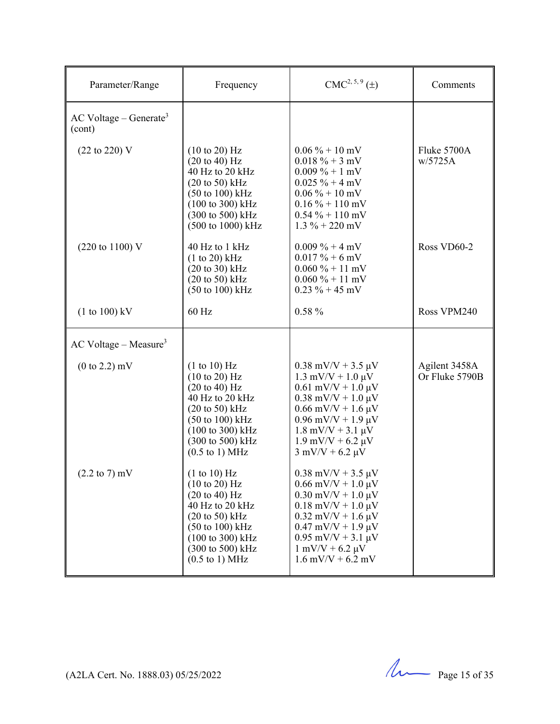| Frequency                                                                                                                                                                                                                                                                                                                                                                                                                          | CMC <sup>2, 5, 9</sup> (±)                                                                                                                                                                                                                                                                                                                                                                                                                                                                                                                             | Comments                        |
|------------------------------------------------------------------------------------------------------------------------------------------------------------------------------------------------------------------------------------------------------------------------------------------------------------------------------------------------------------------------------------------------------------------------------------|--------------------------------------------------------------------------------------------------------------------------------------------------------------------------------------------------------------------------------------------------------------------------------------------------------------------------------------------------------------------------------------------------------------------------------------------------------------------------------------------------------------------------------------------------------|---------------------------------|
|                                                                                                                                                                                                                                                                                                                                                                                                                                    |                                                                                                                                                                                                                                                                                                                                                                                                                                                                                                                                                        |                                 |
| $(10 \text{ to } 20)$ Hz<br>$(20 \text{ to } 40)$ Hz<br>40 Hz to 20 kHz<br>$(20 \text{ to } 50) \text{ kHz}$<br>$(50 \text{ to } 100) \text{ kHz}$<br>$(100 \text{ to } 300) \text{ kHz}$<br>(300 to 500) kHz<br>(500 to 1000) kHz                                                                                                                                                                                                 | $0.06\% + 10\,\text{mV}$<br>$0.018 \% + 3 mV$<br>$0.009\% + 1$ mV<br>$0.025 \% + 4 mV$<br>$0.06\% + 10\,\text{mV}$<br>$0.16\% + 110$ mV<br>$0.54\% + 110\,\text{mV}$<br>$1.3\% + 220$ mV                                                                                                                                                                                                                                                                                                                                                               | Fluke 5700A<br>w/5725A          |
| 40 Hz to 1 kHz<br>$(1 to 20)$ kHz<br>$(20 \text{ to } 30)$ kHz<br>$(20 \text{ to } 50)$ kHz<br>$(50 \text{ to } 100) \text{ kHz}$                                                                                                                                                                                                                                                                                                  | $0.009\% + 4 mV$<br>$0.017\% + 6$ mV<br>$0.060\% + 11 \text{ mV}$<br>$0.060\% + 11 \text{ mV}$<br>$0.23 \% + 45$ mV                                                                                                                                                                                                                                                                                                                                                                                                                                    | Ross VD60-2                     |
| 60 Hz                                                                                                                                                                                                                                                                                                                                                                                                                              | $0.58 \%$                                                                                                                                                                                                                                                                                                                                                                                                                                                                                                                                              | Ross VPM240                     |
|                                                                                                                                                                                                                                                                                                                                                                                                                                    |                                                                                                                                                                                                                                                                                                                                                                                                                                                                                                                                                        |                                 |
| (1 to 10) Hz<br>$(10 \text{ to } 20)$ Hz<br>$(20 \text{ to } 40)$ Hz<br>40 Hz to 20 kHz<br>$(20 \text{ to } 50)$ kHz<br>(50 to 100) kHz<br>(100 to 300) kHz<br>(300 to 500) kHz<br>$(0.5 \text{ to } 1) \text{ MHz}$<br>(1 to 10) Hz<br>$(10 \text{ to } 20)$ Hz<br>$(20 \text{ to } 40) \text{ Hz}$<br>40 Hz to 20 kHz<br>$(20 \text{ to } 50)$ kHz<br>$(50 \text{ to } 100) \text{ kHz}$<br>(100 to 300) kHz<br>(300 to 500) kHz | $0.38$ mV/V + 3.5 $\mu$ V<br>$1.3 \text{ mV/V} + 1.0 \text{ }\mu\text{V}$<br>$0.61$ mV/V + $1.0 \mu$ V<br>$0.38$ mV/V + 1.0 $\mu$ V<br>$0.66$ mV/V + 1.6 $\mu$ V<br>$0.96$ mV/V + 1.9 $\mu$ V<br>$1.8 \text{ mV/V} + 3.1 \text{ }\mu\text{V}$<br>$1.9$ mV/V + 6.2 $\mu$ V<br>$3$ mV/V + 6.2 $\mu$ V<br>$0.38$ mV/V + 3.5 $\mu$ V<br>$0.66$ mV/V + $1.0 \mu$ V<br>$0.30$ mV/V + 1.0 $\mu$ V<br>$0.18$ mV/V + 1.0 $\mu$ V<br>$0.32$ mV/V + 1.6 $\mu$ V<br>$0.47$ mV/V + 1.9 $\mu$ V<br>$0.95$ mV/V + 3.1 $\mu$ V<br>$1 \text{ mV/V} + 6.2 \text{ \mu V}$ | Agilent 3458A<br>Or Fluke 5790B |
|                                                                                                                                                                                                                                                                                                                                                                                                                                    | $(0.5 \text{ to } 1) \text{ MHz}$                                                                                                                                                                                                                                                                                                                                                                                                                                                                                                                      | $1.6$ mV/V + 6.2 mV             |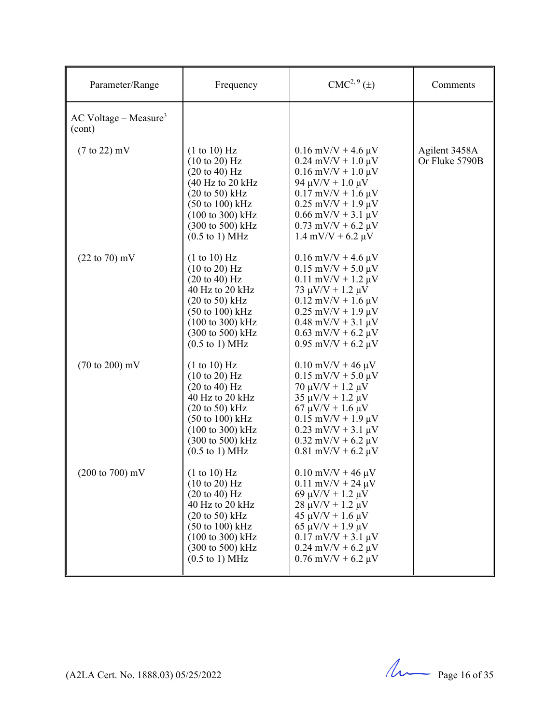| Parameter/Range                               | Frequency                                                                                                                                                                                                                                                            | CMC <sup>2, 9</sup> (±)                                                                                                                                                                                                                                       | Comments                        |
|-----------------------------------------------|----------------------------------------------------------------------------------------------------------------------------------------------------------------------------------------------------------------------------------------------------------------------|---------------------------------------------------------------------------------------------------------------------------------------------------------------------------------------------------------------------------------------------------------------|---------------------------------|
| $AC$ Voltage – Measure <sup>3</sup><br>(cont) |                                                                                                                                                                                                                                                                      |                                                                                                                                                                                                                                                               |                                 |
| $(7 \text{ to } 22)$ mV                       | (1 to 10) Hz<br>$(10 \text{ to } 20)$ Hz<br>$(20 \text{ to } 40) \text{ Hz}$<br>$(40 \text{ Hz}$ to $20 \text{ kHz}$<br>$(20 \text{ to } 50)$ kHz<br>$(50 \text{ to } 100) \text{ kHz}$<br>(100 to 300) kHz<br>(300 to 500) kHz<br>$(0.5 \text{ to } 1) \text{ MHz}$ | $0.16$ mV/V + 4.6 $\mu$ V<br>$0.24$ mV/V + 1.0 $\mu$ V<br>$0.16$ mV/V + $1.0 \mu$ V<br>94 $\mu$ V/V + 1.0 $\mu$ V<br>$0.17$ mV/V + 1.6 $\mu$ V<br>$0.25$ mV/V + 1.9 $\mu$ V<br>$0.66$ mV/V + 3.1 $\mu$ V<br>$0.73$ mV/V + 6.2 µV<br>$1.4$ mV/V + 6.2 $\mu$ V  | Agilent 3458A<br>Or Fluke 5790B |
| $(22 \text{ to } 70) \text{ mV}$              | (1 to 10) Hz<br>(10 to 20) Hz<br>$(20 \text{ to } 40) \text{ Hz}$<br>40 Hz to 20 kHz<br>$(20 \text{ to } 50)$ kHz<br>$(50 \text{ to } 100) \text{ kHz}$<br>(100 to 300) kHz<br>(300 to 500) kHz<br>$(0.5 \text{ to } 1) \text{ MHz}$                                 | $0.16$ mV/V + 4.6 $\mu$ V<br>$0.15$ mV/V + 5.0 $\mu$ V<br>$0.11$ mV/V + 1.2 $\mu$ V<br>73 $\mu$ V/V + 1.2 $\mu$ V<br>$0.12$ mV/V + 1.6 $\mu$ V<br>$0.25$ mV/V + 1.9 $\mu$ V<br>$0.48$ mV/V + 3.1 µV<br>$0.63$ mV/V + 6.2 $\mu$ V<br>$0.95$ mV/V + 6.2 $\mu$ V |                                 |
| $(70 \text{ to } 200) \text{ mV}$             | (1 to 10) Hz<br>$(10 \text{ to } 20)$ Hz<br>$(20 \text{ to } 40)$ Hz<br>40 Hz to 20 kHz<br>$(20 \text{ to } 50)$ kHz<br>$(50 \text{ to } 100) \text{ kHz}$<br>$(100 \text{ to } 300) \text{ kHz}$<br>(300 to 500) kHz<br>$(0.5 \text{ to } 1) \text{ MHz}$           | $0.10$ mV/V + 46 $\mu$ V<br>$0.15$ mV/V + 5.0 $\mu$ V<br>$70 \mu V/V + 1.2 \mu V$<br>$35 \mu V/V + 1.2 \mu V$<br>$67 \mu V/V + 1.6 \mu V$<br>$0.15$ mV/V + 1.9 $\mu$ V<br>$0.23$ mV/V + 3.1 $\mu$ V<br>$0.32$ mV/V + 6.2 $\mu$ V<br>$0.81$ mV/V + 6.2 $\mu$ V |                                 |
| $(200 \text{ to } 700) \text{ mV}$            | (1 to 10) Hz<br>$(10 \text{ to } 20)$ Hz<br>$(20 \text{ to } 40) \text{ Hz}$<br>40 Hz to 20 kHz<br>$(20 \text{ to } 50)$ kHz<br>$(50 \text{ to } 100) \text{ kHz}$<br>(100 to 300) kHz<br>(300 to 500) kHz<br>$(0.5 \text{ to } 1) \text{ MHz}$                      | $0.10$ mV/V + 46 $\mu$ V<br>$0.11$ mV/V + 24 $\mu$ V<br>69 μV/V + 1.2 μV<br>$28 \mu V/V + 1.2 \mu V$<br>$45 \mu V/V + 1.6 \mu V$<br>$65 \mu V/V + 1.9 \mu V$<br>$0.17$ mV/V + 3.1 µV<br>$0.24$ mV/V + 6.2 µV<br>$0.76$ mV/V + 6.2 µV                          |                                 |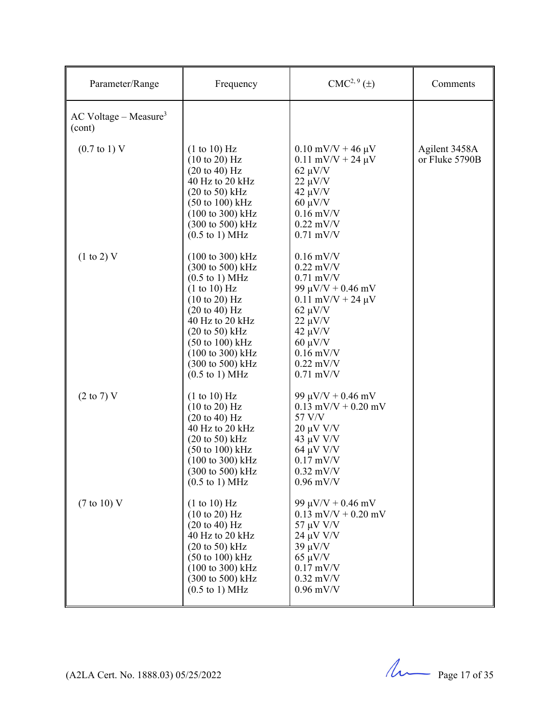| Parameter/Range                               | Frequency                                                                                                                                                                                                                                                                                                                               | $CMC2, 9(\pm)$                                                                                                                                                                                               | Comments                        |
|-----------------------------------------------|-----------------------------------------------------------------------------------------------------------------------------------------------------------------------------------------------------------------------------------------------------------------------------------------------------------------------------------------|--------------------------------------------------------------------------------------------------------------------------------------------------------------------------------------------------------------|---------------------------------|
| $AC$ Voltage – Measure <sup>3</sup><br>(cont) |                                                                                                                                                                                                                                                                                                                                         |                                                                                                                                                                                                              |                                 |
| $(0.7 \text{ to } 1) \text{ V}$               | (1 to 10) Hz<br>$(10 \text{ to } 20)$ Hz<br>$(20 \text{ to } 40) \text{ Hz}$<br>40 Hz to 20 kHz<br>$(20 \text{ to } 50)$ kHz<br>$(50 \text{ to } 100) \text{ kHz}$<br>$(100 \text{ to } 300) \text{ kHz}$<br>(300 to 500) kHz<br>$(0.5 \text{ to } 1) \text{ MHz}$                                                                      | $0.10$ mV/V + 46 $\mu$ V<br>$0.11$ mV/V + 24 $\mu$ V<br>$62 \mu V/V$<br>$22 \mu V/V$<br>$42 \mu V/V$<br>$60 \mu V/V$<br>$0.16$ mV/V<br>$0.22$ mV/V<br>$0.71$ mV/V                                            | Agilent 3458A<br>or Fluke 5790B |
| (1 to 2) V                                    | $(100 \text{ to } 300) \text{ kHz}$<br>(300 to 500) kHz<br>$(0.5 \text{ to } 1) \text{ MHz}$<br>(1 to 10) Hz<br>$(10 \text{ to } 20)$ Hz<br>$(20 \text{ to } 40)$ Hz<br>40 Hz to 20 kHz<br>$(20 \text{ to } 50)$ kHz<br>$(50 \text{ to } 100) \text{ kHz}$<br>(100 to 300) kHz<br>(300 to 500) kHz<br>$(0.5 \text{ to } 1) \text{ MHz}$ | $0.16$ mV/V<br>$0.22$ mV/V<br>$0.71$ mV/V<br>99 $\mu$ V/V + 0.46 mV<br>$0.11$ mV/V + 24 $\mu$ V<br>$62 \mu V/V$<br>$22 \mu V/V$<br>$42 \mu V/V$<br>$60 \mu V/V$<br>$0.16$ mV/V<br>$0.22$ mV/V<br>$0.71$ mV/V |                                 |
| $(2 \text{ to } 7)$ V                         | (1 to 10) Hz<br>$(10 \text{ to } 20)$ Hz<br>$(20 \text{ to } 40) \text{ Hz}$<br>40 Hz to 20 kHz<br>$(20 \text{ to } 50)$ kHz<br>$(50 \text{ to } 100) \text{ kHz}$<br>$(100 \text{ to } 300) \text{ kHz}$<br>(300 to 500) kHz<br>$(0.5 \text{ to } 1) \text{ MHz}$                                                                      | 99 $\mu$ V/V + 0.46 mV<br>$0.13$ mV/V + $0.20$ mV<br>57 V/V<br>$20 \mu V V/V$<br>$43 \mu V V/V$<br>$64 \mu V V/V$<br>$0.17$ mV/V<br>$0.32$ mV/V<br>$0.96$ mV/V                                               |                                 |
| $(7 \text{ to } 10)$ V                        | (1 to 10) Hz<br>$(10 \text{ to } 20)$ Hz<br>$(20 \text{ to } 40)$ Hz<br>40 Hz to 20 kHz<br>$(20 \text{ to } 50)$ kHz<br>$(50 \text{ to } 100) \text{ kHz}$<br>$(100 \text{ to } 300) \text{ kHz}$<br>(300 to 500) kHz<br>$(0.5 \text{ to } 1) \text{ MHz}$                                                                              | 99 $\mu$ V/V + 0.46 mV<br>$0.13$ mV/V + $0.20$ mV<br>57 μV V/V<br>24 μV V/V<br>$39 \mu V/V$<br>$65 \mu V/V$<br>$0.17$ mV/V<br>$0.32$ mV/V<br>$0.96$ mV/V                                                     |                                 |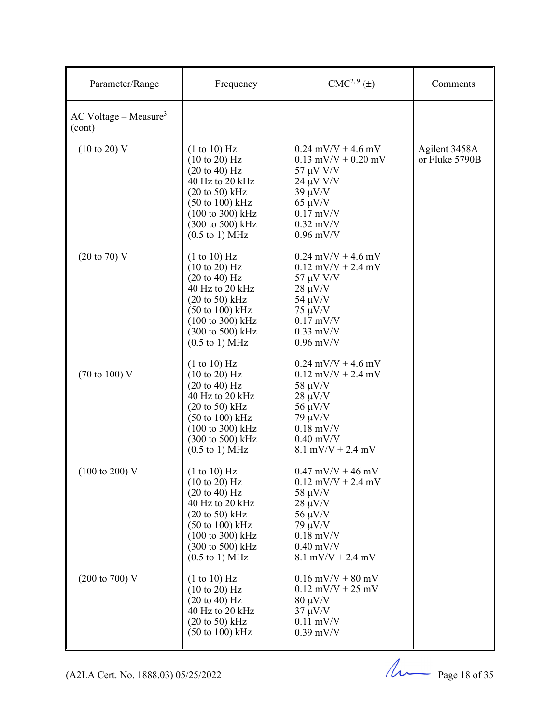| Parameter/Range                               | Frequency                                                                                                                                                                                                                                                          | CMC <sup>2, 9</sup> (±)                                                                                                                                           | Comments                        |
|-----------------------------------------------|--------------------------------------------------------------------------------------------------------------------------------------------------------------------------------------------------------------------------------------------------------------------|-------------------------------------------------------------------------------------------------------------------------------------------------------------------|---------------------------------|
| $AC$ Voltage – Measure <sup>3</sup><br>(cont) |                                                                                                                                                                                                                                                                    |                                                                                                                                                                   |                                 |
| $(10 \text{ to } 20) \text{ V}$               | (1 to 10) Hz<br>$(10 \text{ to } 20)$ Hz<br>$(20 \text{ to } 40) \text{ Hz}$<br>40 Hz to 20 kHz<br>$(20 \text{ to } 50)$ kHz<br>$(50 \text{ to } 100) \text{ kHz}$<br>(100 to 300) kHz<br>(300 to 500) kHz<br>$(0.5 \text{ to } 1) \text{ MHz}$                    | $0.24$ mV/V + 4.6 mV<br>$0.13$ mV/V + $0.20$ mV<br>57 μV V/V<br>$24 \mu V V/V$<br>$39 \mu V/V$<br>$65 \mu V/V$<br>$0.17$ mV/V<br>$0.32$ mV/V<br>$0.96$ mV/V       | Agilent 3458A<br>or Fluke 5790B |
| $(20 \text{ to } 70)$ V                       | (1 to 10) Hz<br>$(10 \text{ to } 20)$ Hz<br>$(20 \text{ to } 40)$ Hz<br>40 Hz to 20 kHz<br>$(20 \text{ to } 50) \text{ kHz}$<br>$(50 \text{ to } 100) \text{ kHz}$<br>(100 to 300) kHz<br>(300 to 500) kHz<br>$(0.5 \text{ to } 1) \text{ MHz}$                    | $0.24$ mV/V + 4.6 mV<br>$0.12$ mV/V + 2.4 mV<br>57 μV V/V<br>$28 \mu V/V$<br>$54 \mu V/V$<br>$75 \mu V/V$<br>$0.17$ mV/V<br>$0.33$ mV/V<br>$0.96$ mV/V            |                                 |
| $(70 \text{ to } 100) \text{ V}$              | (1 to 10) Hz<br>$(10 \text{ to } 20)$ Hz<br>$(20 \text{ to } 40) \text{ Hz}$<br>40 Hz to 20 kHz<br>$(20 \text{ to } 50)$ kHz<br>$(50 \text{ to } 100) \text{ kHz}$<br>$(100 \text{ to } 300) \text{ kHz}$<br>(300 to 500) kHz<br>$(0.5 \text{ to } 1) \text{ MHz}$ | $0.24$ mV/V + 4.6 mV<br>$0.12$ mV/V + 2.4 mV<br>$58 \mu V/V$<br>$28 \mu V/V$<br>$56 \mu V/V$<br>$79 \mu V/V$<br>$0.18$ mV/V<br>$0.40$ mV/V<br>$8.1$ mV/V + 2.4 mV |                                 |
| $(100 \text{ to } 200) \text{ V}$             | (1 to 10) Hz<br>$(10 \text{ to } 20)$ Hz<br>$(20 \text{ to } 40)$ Hz<br>40 Hz to 20 kHz<br>$(20 \text{ to } 50) \text{ kHz}$<br>(50 to 100) kHz<br>(100 to 300) kHz<br>(300 to 500) kHz<br>$(0.5 \text{ to } 1) \text{ MHz}$                                       | $0.47$ mV/V + 46 mV<br>$0.12$ mV/V + 2.4 mV<br>$58 \mu V/V$<br>$28 \mu V/V$<br>$56 \mu V/V$<br>$79 \mu V/V$<br>$0.18$ mV/V<br>$0.40$ mV/V<br>$8.1$ mV/V + 2.4 mV  |                                 |
| $(200 \text{ to } 700) \text{ V}$             | (1 to 10) Hz<br>$(10 \text{ to } 20)$ Hz<br>$(20 \text{ to } 40) \text{ Hz}$<br>40 Hz to 20 kHz<br>$(20 \text{ to } 50)$ kHz<br>$(50 \text{ to } 100) \text{ kHz}$                                                                                                 | $0.16$ mV/V + 80 mV<br>$0.12$ mV/V + 25 mV<br>$80 \mu V/V$<br>$37 \mu V/V$<br>$0.11$ mV/V<br>$0.39$ mV/V                                                          |                                 |

 $(122A$  Cert. No. 1888.03) 05/25/2022 Page 18 of 35

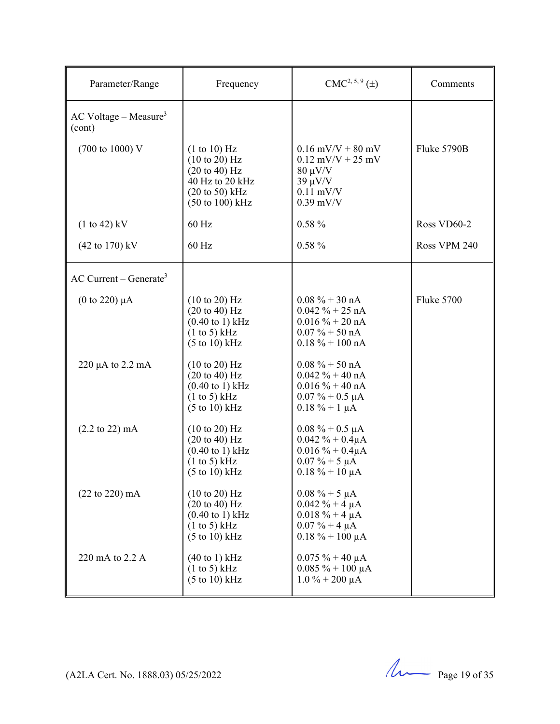| Parameter/Range                               | Frequency                                                                                                                                              | $CMC2, 5, 9(\pm)$                                                                                                       | Comments          |
|-----------------------------------------------|--------------------------------------------------------------------------------------------------------------------------------------------------------|-------------------------------------------------------------------------------------------------------------------------|-------------------|
| $AC$ Voltage – Measure <sup>3</sup><br>(cont) |                                                                                                                                                        |                                                                                                                         |                   |
| (700 to 1000) V                               | (1 to 10) Hz<br>(10 to 20) Hz<br>$(20 \text{ to } 40)$ Hz<br>40 Hz to 20 kHz<br>$(20 \text{ to } 50)$ kHz<br>$(50 \text{ to } 100) \text{ kHz}$        | $0.16$ mV/V + 80 mV<br>$0.12$ mV/V + 25 mV<br>$80 \mu V/V$<br>$39 \mu V/V$<br>$0.11$ mV/V<br>$0.39$ mV/V                | Fluke 5790B       |
| $(1 to 42)$ kV                                | 60 Hz                                                                                                                                                  | $0.58 \%$                                                                                                               | Ross VD60-2       |
| $(42 \text{ to } 170) \text{ kV}$             | 60 Hz                                                                                                                                                  | $0.58 \%$                                                                                                               | Ross VPM 240      |
| $AC$ Current – Generate <sup>3</sup>          |                                                                                                                                                        |                                                                                                                         |                   |
| $(0 \text{ to } 220) \mu A$                   | $(10 \text{ to } 20)$ Hz<br>$(20 \text{ to } 40)$ Hz<br>$(0.40 \text{ to } 1) \text{ kHz}$<br>(1 to 5) kHz<br>$(5 \text{ to } 10) \text{ kHz}$         | $0.08 \% + 30 nA$<br>$0.042 \% + 25 nA$<br>$0.016 \% + 20 nA$<br>$0.07\% + 50 \text{ nA}$<br>$0.18 \% + 100 \text{ nA}$ | <b>Fluke 5700</b> |
| $220 \mu A$ to $2.2 \mu A$                    | $(10 \text{ to } 20)$ Hz<br>$(20 \text{ to } 40) \text{ Hz}$<br>$(0.40 \text{ to } 1) \text{ kHz}$<br>(1 to 5) kHz<br>$(5 \text{ to } 10) \text{ kHz}$ | $0.08 \% + 50 nA$<br>$0.042 \% + 40 nA$<br>$0.016 \% + 40 nA$<br>$0.07\% + 0.5 \mu A$<br>$0.18 \% + 1 \mu A$            |                   |
| $(2.2 \text{ to } 22) \text{ mA}$             | $(10 \text{ to } 20)$ Hz<br>$(20 \text{ to } 40)$ Hz<br>$(0.40 \text{ to } 1) \text{ kHz}$<br>(1 to 5) kHz<br>$(5 \text{ to } 10) \text{ kHz}$         | $0.08\% + 0.5 \mu A$<br>$0.042 \% + 0.4 \mu A$<br>$0.016 \% + 0.4 \mu A$<br>$0.07 \% + 5 \mu A$<br>$0.18 \% + 10 \mu A$ |                   |
| $(22 \text{ to } 220) \text{ mA}$             | $(10 \text{ to } 20)$ Hz<br>$(20 \text{ to } 40)$ Hz<br>$(0.40 \text{ to } 1) \text{ kHz}$<br>(1 to 5) kHz<br>$(5 \text{ to } 10) \text{ kHz}$         | $0.08 \% + 5 \mu A$<br>$0.042 \% + 4 \mu A$<br>$0.018 \% + 4 \mu A$<br>$0.07 \% + 4 \mu A$<br>$0.18 \% + 100 \mu A$     |                   |
| 220 mA to 2.2 A                               | $(40 \text{ to } 1)$ kHz<br>(1 to 5) kHz<br>$(5 \text{ to } 10) \text{ kHz}$                                                                           | $0.075 \% + 40 \mu A$<br>$0.085 \% + 100 \mu A$<br>$1.0\% + 200 \mu A$                                                  |                   |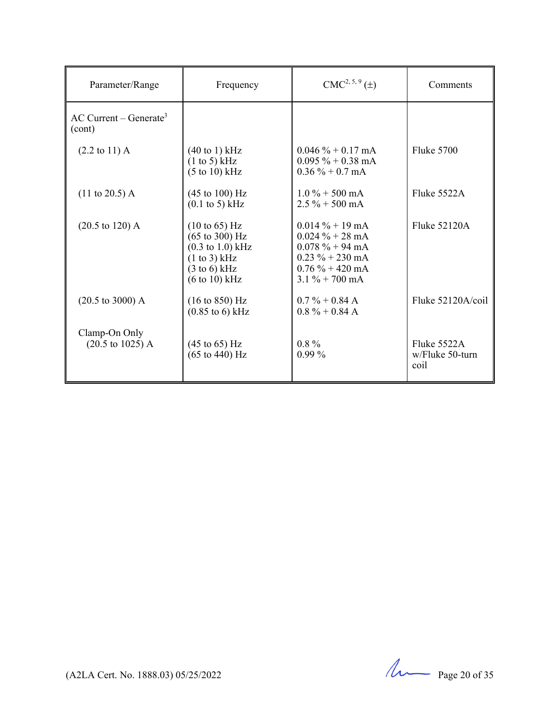| Parameter/Range                                      | Frequency                                                                                                                                                                  | $CMC2, 5, 9(\pm)$                                                                                                                                                    | Comments                               |
|------------------------------------------------------|----------------------------------------------------------------------------------------------------------------------------------------------------------------------------|----------------------------------------------------------------------------------------------------------------------------------------------------------------------|----------------------------------------|
| $AC$ Current – Generate <sup>3</sup><br>(cont)       |                                                                                                                                                                            |                                                                                                                                                                      |                                        |
| $(2.2 \text{ to } 11) \text{ A}$                     | $(40 \text{ to } 1) \text{ kHz}$<br>(1 to 5) kHz<br>(5 to 10) kHz                                                                                                          | $0.046\% + 0.17 \text{ mA}$<br>$0.095 \% + 0.38$ mA<br>$0.36\% + 0.7 \text{ mA}$                                                                                     | <b>Fluke 5700</b>                      |
| $(11 \text{ to } 20.5)$ A                            | $(45 \text{ to } 100) \text{ Hz}$<br>$(0.1 \text{ to } 5)$ kHz                                                                                                             | $1.0\% + 500 \text{ mA}$<br>$2.5\% + 500 \text{ mA}$                                                                                                                 | Fluke 5522A                            |
| $(20.5 \text{ to } 120)$ A                           | $(10 \text{ to } 65) \text{ Hz}$<br>$(65 \text{ to } 300) \text{ Hz}$<br>$(0.3 \text{ to } 1.0) \text{ kHz}$<br>(1 to 3) kHz<br>$(3 \text{ to } 6)$ kHz<br>$(6 to 10)$ kHz | $0.014\% + 19 \text{ mA}$<br>$0.024 \% + 28 \text{ mA}$<br>$0.078 \% + 94 \text{ mA}$<br>$0.23 \% + 230$ mA<br>$0.76\% + 420 \text{ mA}$<br>$3.1\% + 700 \text{ mA}$ | Fluke 52120A                           |
| $(20.5 \text{ to } 3000)$ A                          | $(16 \text{ to } 850) \text{ Hz}$<br>$(0.85 \text{ to } 6) \text{ kHz}$                                                                                                    | $0.7\% + 0.84$ A<br>$0.8\% + 0.84\text{ A}$                                                                                                                          | Fluke $52120A/col$                     |
| Clamp-On Only<br>$(20.5 \text{ to } 1025) \text{ A}$ | $(45 \text{ to } 65) \text{ Hz}$<br>$(65 \text{ to } 440) \text{ Hz}$                                                                                                      | $0.8\%$<br>$0.99\%$                                                                                                                                                  | Fluke 5522A<br>w/Fluke 50-turn<br>coil |

(A2LA Cert. No. 1888.03) 05/25/2022 Page 20 of 35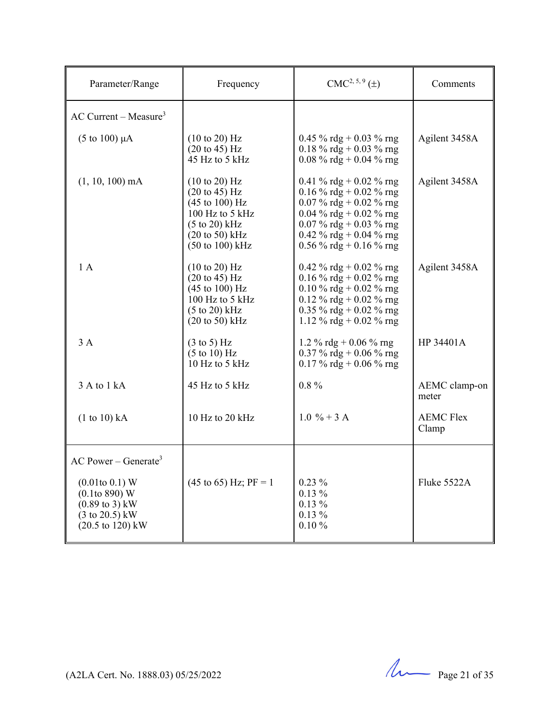| Parameter/Range                                                                                                                                                                      | Frequency                                                                                                                                                                                                           | $CMC2, 5, 9(\pm)$                                                                                                                                                                         | Comments                  |
|--------------------------------------------------------------------------------------------------------------------------------------------------------------------------------------|---------------------------------------------------------------------------------------------------------------------------------------------------------------------------------------------------------------------|-------------------------------------------------------------------------------------------------------------------------------------------------------------------------------------------|---------------------------|
| $AC$ Current – Measure <sup>3</sup>                                                                                                                                                  |                                                                                                                                                                                                                     |                                                                                                                                                                                           |                           |
| $(5 \text{ to } 100) \mu A$                                                                                                                                                          | $(10 \text{ to } 20)$ Hz<br>$(20 \text{ to } 45) \text{ Hz}$<br>45 Hz to 5 kHz                                                                                                                                      | 0.45 % rdg + 0.03 % rng<br>0.18 % rdg + 0.03 % rng<br>0.08 % rdg + 0.04 % rng                                                                                                             | Agilent 3458A             |
| $(1, 10, 100)$ mA                                                                                                                                                                    | $(10 \text{ to } 20)$ Hz<br>$(20 \text{ to } 45) \text{ Hz}$<br>$(45 \text{ to } 100) \text{ Hz}$<br>100 Hz to 5 kHz<br>$(5 \text{ to } 20)$ kHz<br>$(20 \text{ to } 50)$ kHz<br>$(50 \text{ to } 100) \text{ kHz}$ | 0.41 % rdg + 0.02 % rng<br>0.16 % rdg + 0.02 % rng<br>0.07 % rdg + 0.02 % rng<br>0.04 % rdg + 0.02 % rng<br>0.07 % rdg + 0.03 % rng<br>0.42 % rdg + 0.04 % rng<br>0.56 % rdg + 0.16 % rng | Agilent 3458A             |
| 1 A                                                                                                                                                                                  | $(10 \text{ to } 20)$ Hz<br>$(20 \text{ to } 45) \text{ Hz}$<br>$(45 \text{ to } 100) \text{ Hz}$<br>100 Hz to 5 kHz<br>$(5 \text{ to } 20)$ kHz<br>$(20 \text{ to } 50)$ kHz                                       | 0.42 % rdg + 0.02 % rng<br>0.16 % rdg + 0.02 % rng<br>0.10 % rdg + 0.02 % rng<br>0.12 % rdg + 0.02 % rng<br>0.35 % rdg + 0.02 % rng<br>1.12 % rdg + 0.02 % rng                            | Agilent 3458A             |
| 3A                                                                                                                                                                                   | $(3 \text{ to } 5)$ Hz<br>$(5 \text{ to } 10)$ Hz<br>10 Hz to 5 kHz                                                                                                                                                 | 1.2 % rdg + 0.06 % rng<br>0.37 % rdg + 0.06 % rng<br>0.17 % rdg + 0.06 % rng                                                                                                              | HP 34401A                 |
| 3 A to 1 kA                                                                                                                                                                          | 45 Hz to 5 kHz                                                                                                                                                                                                      | $0.8 \%$                                                                                                                                                                                  | AEMC clamp-on<br>meter    |
| (1 to 10) kA                                                                                                                                                                         | 10 Hz to 20 kHz                                                                                                                                                                                                     | $1.0 \% + 3 A$                                                                                                                                                                            | <b>AEMC Flex</b><br>Clamp |
| AC Power – Generate <sup>3</sup><br>$(0.01$ to $0.1)$ W<br>$(0.1$ to 890) W<br>$(0.89 \text{ to } 3) \text{ kW}$<br>$(3 \text{ to } 20.5)$ kW<br>$(20.5 \text{ to } 120) \text{ kW}$ | $(45 \text{ to } 65)$ Hz; PF = 1                                                                                                                                                                                    | $0.23\%$<br>$0.13\%$<br>$0.13\%$<br>$0.13\%$<br>$0.10 \%$                                                                                                                                 | Fluke 5522A               |

 $(122A$  Cert. No. 1888.03) 05/25/2022 Page 21 of 35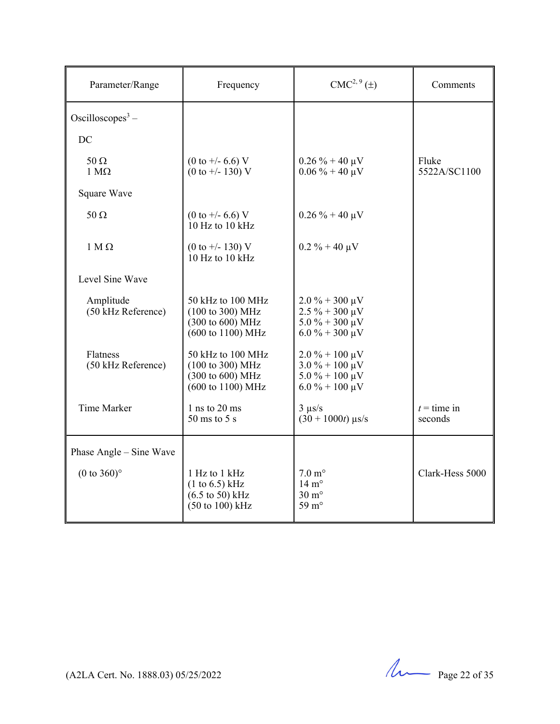| Parameter/Range                   | Frequency                                                                                                   | $CMC2, 9(\pm)$                                                                                                   | Comments                 |
|-----------------------------------|-------------------------------------------------------------------------------------------------------------|------------------------------------------------------------------------------------------------------------------|--------------------------|
| Oscilloscopes <sup>3</sup> –      |                                                                                                             |                                                                                                                  |                          |
| DC                                |                                                                                                             |                                                                                                                  |                          |
| $50 \Omega$<br>$1 M\Omega$        | $(0 \text{ to } +/- 6.6)$ V<br>$(0 to +/- 130)$ V                                                           | $0.26 \% + 40 \mu V$<br>$0.06\% + 40 \mu V$                                                                      | Fluke<br>5522A/SC1100    |
| Square Wave                       |                                                                                                             |                                                                                                                  |                          |
| $50 \Omega$                       | $(0 \text{ to } +/- 6.6)$ V<br>10 Hz to 10 kHz                                                              | $0.26 \% + 40 \mu V$                                                                                             |                          |
| $1 M\Omega$                       | $(0 \text{ to } +/- 130)$ V<br>10 Hz to 10 kHz                                                              | $0.2 \% + 40 \mu V$                                                                                              |                          |
| Level Sine Wave                   |                                                                                                             |                                                                                                                  |                          |
| Amplitude<br>$(50$ kHz Reference) | 50 kHz to 100 MHz<br>$(100 \text{ to } 300) \text{ MHz}$<br>(300 to 600) MHz<br>(600 to 1100) MHz           | $2.0\% + 300 \mu V$<br>$2.5\% + 300 \,\mu\text{V}$<br>$5.0\% + 300 \,\mu\text{V}$<br>$6.0\% + 300 \mu V$         |                          |
| Flatness<br>(50 kHz Reference)    | 50 kHz to 100 MHz<br>$(100 \text{ to } 300) \text{ MHz}$<br>(300 to 600) MHz<br>(600 to 1100) MHz           | $2.0\% + 100 \,\mu\text{V}$<br>$3.0\% + 100 \,\mu\text{V}$<br>$5.0\% + 100 \mu V$<br>$6.0\% + 100 \,\mu\text{V}$ |                          |
| Time Marker                       | $1$ ns to $20$ ms<br>$50 \text{ ms}$ to $5 \text{ s}$                                                       | $3 \mu s/s$<br>$(30 + 1000t)$ µs/s                                                                               | $t =$ time in<br>seconds |
| Phase Angle – Sine Wave           |                                                                                                             |                                                                                                                  |                          |
| $(0 \text{ to } 360)$ °           | 1 Hz to 1 kHz<br>(1 to 6.5) kHz<br>$(6.5 \text{ to } 50) \text{ kHz}$<br>$(50 \text{ to } 100) \text{ kHz}$ | $7.0 \text{ m}^{\circ}$<br>$14 \text{ m}^{\circ}$<br>$30 \text{ m}^{\circ}$<br>59 $m^{\circ}$                    | Clark-Hess 5000          |

 $(122A$  Cert. No. 1888.03) 05/25/2022 Page 22 of 35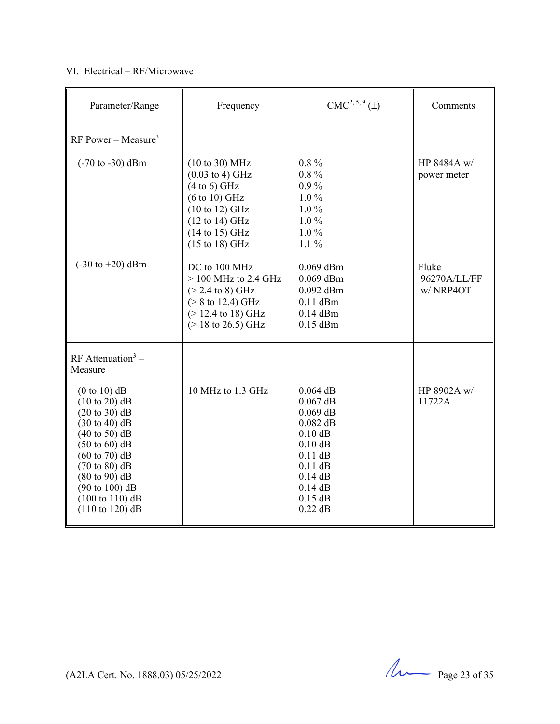#### VI. Electrical – RF/Microwave

| Parameter/Range                                                                                                                                                                                                                                                                                                                                                                                          | Frequency                                                                                                                                                                                                                                        | $CMC2, 5, 9(\pm)$                                                                                                                                            | Comments                          |
|----------------------------------------------------------------------------------------------------------------------------------------------------------------------------------------------------------------------------------------------------------------------------------------------------------------------------------------------------------------------------------------------------------|--------------------------------------------------------------------------------------------------------------------------------------------------------------------------------------------------------------------------------------------------|--------------------------------------------------------------------------------------------------------------------------------------------------------------|-----------------------------------|
| RF Power – Measure <sup>3</sup>                                                                                                                                                                                                                                                                                                                                                                          |                                                                                                                                                                                                                                                  |                                                                                                                                                              |                                   |
| $(-70 \text{ to } -30) \text{ dBm}$                                                                                                                                                                                                                                                                                                                                                                      | $(10 \text{ to } 30) \text{ MHz}$<br>$(0.03 \text{ to } 4) \text{ GHz}$<br>$(4 to 6)$ GHz<br>$(6 to 10)$ GHz<br>$(10 \text{ to } 12) \text{ GHz}$<br>$(12 \text{ to } 14) \text{ GHz}$<br>$(14 \text{ to } 15)$ GHz<br>$(15 \text{ to } 18)$ GHz | $0.8\%$<br>$0.8\%$<br>$0.9\%$<br>$1.0\%$<br>$1.0\%$<br>$1.0\%$<br>$1.0\%$<br>$1.1\%$                                                                         | HP 8484A w/<br>power meter        |
| $(-30 \text{ to } +20) \text{ dBm}$                                                                                                                                                                                                                                                                                                                                                                      | DC to 100 MHz<br>$>$ 100 MHz to 2.4 GHz<br>$(> 2.4 \text{ to } 8) \text{ GHz}$<br>$(> 8 \text{ to } 12.4) \text{ GHz}$<br>$(> 12.4 \text{ to } 18) \text{ GHz}$<br>$(>18 \text{ to } 26.5) \text{ GHz}$                                          | 0.069 dBm<br>$0.069$ dBm<br>$0.092$ dBm<br>$0.11$ dBm<br>$0.14$ dBm<br>$0.15$ dBm                                                                            | Fluke<br>96270A/LL/FF<br>w/NRP4OT |
| RF Attenuation <sup>3</sup> –<br>Measure<br>$(0 to 10)$ dB<br>$(10 \text{ to } 20)$ dB<br>(20 to 30) dB<br>$(30 \text{ to } 40) \text{ dB}$<br>$(40 \text{ to } 50)$ dB<br>$(50 \text{ to } 60)$ dB<br>$(60 \text{ to } 70)$ dB<br>$(70 \text{ to } 80)$ dB<br>$(80 \text{ to } 90)$ dB<br>$(90 \text{ to } 100) \text{ dB}$<br>$(100 \text{ to } 110) \text{ dB}$<br>$(110 \text{ to } 120) \text{ dB}$ | 10 MHz to 1.3 GHz                                                                                                                                                                                                                                | $0.064$ dB<br>$0.067$ dB<br>$0.069$ dB<br>$0.082$ dB<br>$0.10$ dB<br>$0.10$ dB<br>$0.11$ dB<br>$0.11$ dB<br>$0.14$ dB<br>$0.14$ dB<br>$0.15$ dB<br>$0.22$ dB | HP 8902A w/<br>11722A             |

 $(42LA$  Cert. No. 1888.03) 05/25/2022 Page 23 of 35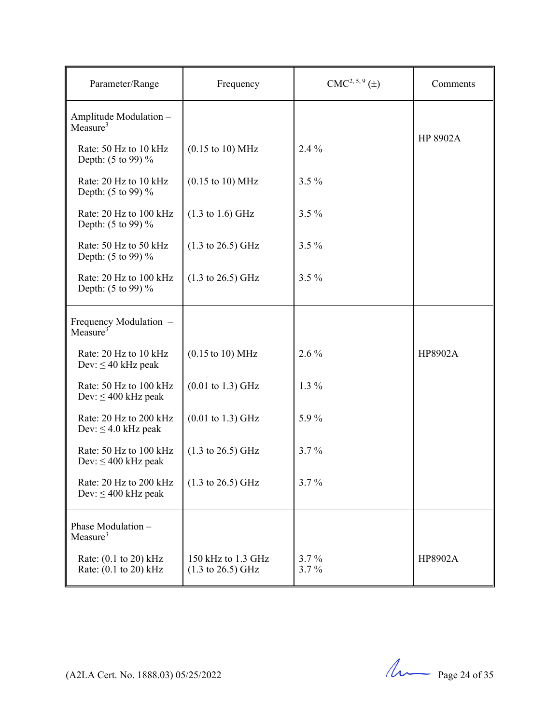| Parameter/Range                                    | Frequency                                                  | $CMC2, 5, 9(\pm)$ | Comments |
|----------------------------------------------------|------------------------------------------------------------|-------------------|----------|
| Amplitude Modulation -<br>Measure <sup>3</sup>     |                                                            |                   |          |
| Rate: 50 Hz to 10 kHz<br>Depth: (5 to 99) %        | $(0.15 \text{ to } 10) \text{ MHz}$                        | 2.4 %             | HP 8902A |
| Rate: 20 Hz to 10 kHz<br>Depth: (5 to 99) %        | $(0.15 \text{ to } 10) \text{ MHz}$                        | $3.5\%$           |          |
| Rate: 20 Hz to 100 kHz<br>Depth: (5 to 99) %       | $(1.3 \text{ to } 1.6) \text{ GHz}$                        | $3.5\%$           |          |
| Rate: 50 Hz to 50 kHz<br>Depth: (5 to 99) %        | $(1.3 \text{ to } 26.5) \text{ GHz}$                       | $3.5\%$           |          |
| Rate: 20 Hz to 100 kHz<br>Depth: (5 to 99) %       | $(1.3 \text{ to } 26.5) \text{ GHz}$                       | $3.5\%$           |          |
| Frequency Modulation -<br>Measure <sup>3</sup>     |                                                            |                   |          |
| Rate: 20 Hz to 10 kHz<br>Dev: $\leq 40$ kHz peak   | $(0.15 \text{ to } 10) \text{ MHz}$                        | $2.6\%$           | HP8902A  |
| Rate: 50 Hz to 100 kHz<br>Dev: $\leq 400$ kHz peak | $(0.01 \text{ to } 1.3) \text{ GHz}$                       | $1.3\%$           |          |
| Rate: 20 Hz to 200 kHz<br>Dev: $\leq$ 4.0 kHz peak | $(0.01 \text{ to } 1.3) \text{ GHz}$                       | 5.9%              |          |
| Rate: 50 Hz to 100 kHz<br>Dev: $\leq 400$ kHz peak | $(1.3 \text{ to } 26.5) \text{ GHz}$                       | 3.7%              |          |
| Rate: 20 Hz to 200 kHz<br>Dev: $\leq 400$ kHz peak | $(1.3 \text{ to } 26.5) \text{ GHz}$                       | $3.7\%$           |          |
| Phase Modulation -<br>Measure <sup>3</sup>         |                                                            |                   |          |
| Rate: $(0.1$ to 20) kHz<br>Rate: (0.1 to 20) kHz   | 150 kHz to 1.3 GHz<br>$(1.3 \text{ to } 26.5) \text{ GHz}$ | $3.7\%$<br>3.7%   | HP8902A  |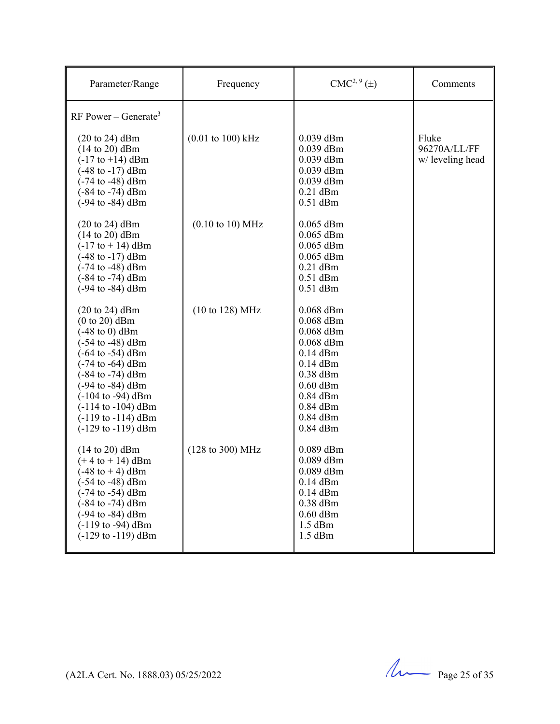| Parameter/Range                                                                                                                                                                                                                                                                                                                                                                                                   | Frequency                            | $CMC2, 9(\pm)$                                                                                                                                                           | Comments                                  |
|-------------------------------------------------------------------------------------------------------------------------------------------------------------------------------------------------------------------------------------------------------------------------------------------------------------------------------------------------------------------------------------------------------------------|--------------------------------------|--------------------------------------------------------------------------------------------------------------------------------------------------------------------------|-------------------------------------------|
| RF Power – Generate <sup>3</sup><br>$(20 \text{ to } 24)$ dBm<br>$(14 \text{ to } 20)$ dBm<br>$(-17 \text{ to } +14) \text{ dBm}$<br>$(-48 \text{ to } -17) \text{ dBm}$<br>$(-74 \text{ to } -48) \text{ dBm}$<br>$(-84 \text{ to } -74) \text{ dBm}$<br>$(-94 \text{ to } -84) \text{ dBm}$                                                                                                                     | $(0.01 \text{ to } 100) \text{ kHz}$ | $0.039$ dBm<br>$0.039$ dBm<br>$0.039$ dBm<br>$0.039$ dBm<br>$0.039$ dBm<br>$0.21$ dBm<br>$0.51$ dBm                                                                      | Fluke<br>96270A/LL/FF<br>w/ leveling head |
| $(20 \text{ to } 24)$ dBm<br>$(14 \text{ to } 20)$ dBm<br>$(-17 to + 14)$ dBm<br>$(-48 \text{ to } -17) \text{ dBm}$<br>$(-74 \text{ to } -48) \text{ dBm}$<br>$(-84 \text{ to } -74) \text{ dBm}$<br>$(-94$ to $-84)$ dBm                                                                                                                                                                                        | $(0.10 \text{ to } 10) \text{ MHz}$  | $0.065$ dBm<br>$0.065$ dBm<br>$0.065$ dBm<br>$0.065$ dBm<br>$0.21$ dBm<br>$0.51$ dBm<br>$0.51$ dBm                                                                       |                                           |
| $(20 \text{ to } 24)$ dBm<br>$(0 to 20)$ dBm<br>$(-48 \text{ to } 0)$ dBm<br>$(-54 \text{ to } -48) \text{ dBm}$<br>$(-64 \text{ to } -54) \text{ dBm}$<br>$(-74 \text{ to } -64) \text{ dBm}$<br>$(-84 \text{ to } -74) \text{ dBm}$<br>$(-94 \text{ to } -84) \text{ dBm}$<br>$(-104 \text{ to } -94) \text{ dBm}$<br>$(-114$ to $-104)$ dBm<br>$(-119 \text{ to } -114) \text{ dBm}$<br>$(-129$ to $-119)$ dBm | (10 to 128) MHz                      | $0.068$ dBm<br>$0.068$ dBm<br>$0.068$ dBm<br>$0.068$ dBm<br>$0.14$ dBm<br>$0.14$ dBm<br>$0.38$ dBm<br>$0.60$ dBm<br>$0.84$ dBm<br>$0.84$ dBm<br>$0.84$ dBm<br>$0.84$ dBm |                                           |
| $(14 \text{ to } 20)$ dBm<br>$(+ 4 to + 14)$ dBm<br>$(-48 \text{ to } + 4) \text{ dBm}$<br>$(-54 \text{ to } -48) \text{ dBm}$<br>$(-74 \text{ to } -54) \text{ dBm}$<br>$(-84 \text{ to } -74) \text{ dBm}$<br>$(-94 \text{ to } -84) \text{ dBm}$<br>$(-119$ to -94) dBm<br>$(-129 \text{ to } -119) \text{ dBm}$                                                                                               | $(128 \text{ to } 300) \text{ MHz}$  | 0.089 dBm<br>$0.089$ dBm<br>0.089 dBm<br>$0.14$ dBm<br>$0.14$ dBm<br>$0.38$ dBm<br>$0.60$ dBm<br>$1.5$ dBm<br>$1.5$ dBm                                                  |                                           |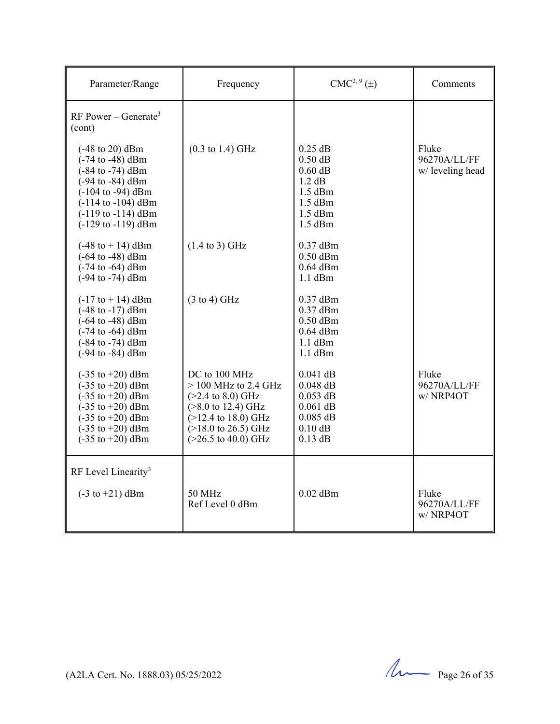| Parameter/Range                                                                                                                                                                                                                                                               | Frequency                                                                                                                                                                                                             | $CMC2, 9(\pm)$                                                                                    | Comments                                 |
|-------------------------------------------------------------------------------------------------------------------------------------------------------------------------------------------------------------------------------------------------------------------------------|-----------------------------------------------------------------------------------------------------------------------------------------------------------------------------------------------------------------------|---------------------------------------------------------------------------------------------------|------------------------------------------|
| RF Power – Generate <sup>3</sup><br>(cont)                                                                                                                                                                                                                                    |                                                                                                                                                                                                                       |                                                                                                   |                                          |
| $(-48 \text{ to } 20) \text{ dBm}$<br>$(-74 \text{ to } -48) \text{ dBm}$<br>$(-84 \text{ to } -74) \text{ dBm}$<br>$(-94$ to $-84)$ dBm<br>$(-104$ to $-94)$ dBm<br>$(-114$ to $-104)$ dBm<br>$(-119$ to $-114)$ dBm<br>$(-129$ to $-119)$ dBm                               | $(0.3 \text{ to } 1.4) \text{ GHz}$                                                                                                                                                                                   | $0.25$ dB<br>$0.50$ dB<br>$0.60$ dB<br>1.2 dB<br>$1.5$ dBm<br>$1.5$ dBm<br>$1.5$ dBm<br>$1.5$ dBm | Fluke<br>96270A/LL/FF<br>w/leveling head |
| $(-48 \text{ to } + 14) \text{ dBm}$<br>$(-64 \text{ to } -48) \text{ dBm}$<br>$(-74 \text{ to } -64) \text{ dBm}$<br>$(-94 \text{ to } -74) \text{ dBm}$                                                                                                                     | $(1.4 \text{ to } 3)$ GHz                                                                                                                                                                                             | $0.37$ dBm<br>$0.50$ dBm<br>$0.64$ dBm<br>$1.1$ dBm                                               |                                          |
| $(-17 \text{ to } +14) \text{ dBm}$<br>$(-48 \text{ to } -17) \text{ dBm}$<br>$(-64 \text{ to } -48) \text{ dBm}$<br>$(-74 \text{ to } -64) \text{ dBm}$<br>$(-84 \text{ to } -74) \text{ dBm}$<br>$(-94 \text{ to } -84) \text{ dBm}$                                        | $(3 \text{ to } 4)$ GHz                                                                                                                                                                                               | $0.37$ dBm<br>$0.37$ dBm<br>$0.50$ dBm<br>$0.64$ dBm<br>$1.1$ dBm<br>$1.1$ dBm                    |                                          |
| $(-35 \text{ to } +20) \text{ dBm}$<br>$(-35 \text{ to } +20) \text{ dBm}$<br>$(-35 \text{ to } +20) \text{ dBm}$<br>$(-35 \text{ to } +20) \text{ dBm}$<br>$(-35 \text{ to } +20) \text{ dBm}$<br>$(-35 \text{ to } +20) \text{ dBm}$<br>$(-35 \text{ to } +20) \text{ dBm}$ | DC to 100 MHz<br>$>$ 100 MHz to 2.4 GHz<br>$(>2.4 \text{ to } 8.0) \text{ GHz}$<br>$($ >8.0 to 12.4) GHz<br>$(>12.4$ to 18.0) GHz<br>$(>18.0 \text{ to } 26.5) \text{ GHz}$<br>$(>26.5 \text{ to } 40.0) \text{ GHz}$ | $0.041$ dB<br>$0.048$ dB<br>$0.053$ dB<br>$0.061$ dB<br>$0.085$ dB<br>$0.10$ dB<br>$0.13$ dB      | Fluke<br>96270A/LL/FF<br>w/NRP4OT        |
| RF Level Linearity <sup>3</sup>                                                                                                                                                                                                                                               |                                                                                                                                                                                                                       |                                                                                                   |                                          |
| $(-3 \text{ to } +21) \text{ dBm}$                                                                                                                                                                                                                                            | 50 MHz<br>Ref Level 0 dBm                                                                                                                                                                                             | $0.02$ dBm                                                                                        | Fluke<br>96270A/LL/FF<br>w/NRP4OT        |

 $(122A$  Cert. No. 1888.03) 05/25/2022 Page 26 of 35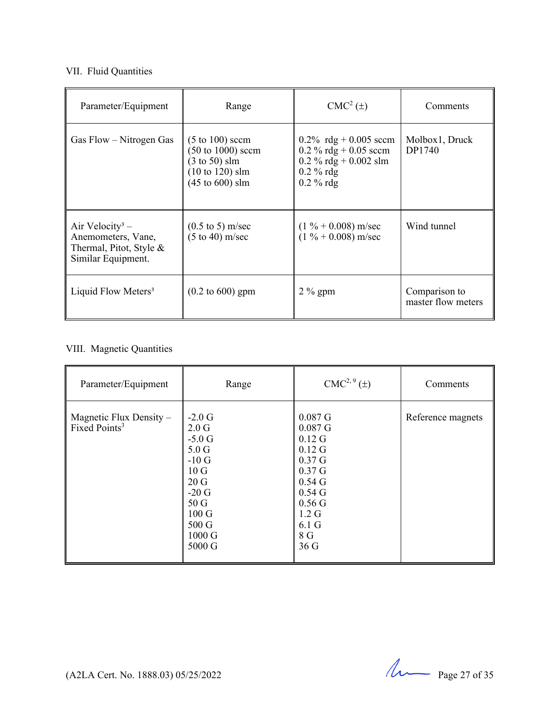### VII. Fluid Quantities

| Parameter/Equipment                                                                                | Range                                                                                                                                                                        | $CMC2(\pm)$                                                                                                   | Comments                            |
|----------------------------------------------------------------------------------------------------|------------------------------------------------------------------------------------------------------------------------------------------------------------------------------|---------------------------------------------------------------------------------------------------------------|-------------------------------------|
| Gas Flow – Nitrogen Gas                                                                            | $(5 \text{ to } 100)$ sccm<br>$(50 \text{ to } 1000) \text{ secm}$<br>$(3 \text{ to } 50)$ slm<br>$(10 \text{ to } 120) \text{ s}$ lm<br>$(45 \text{ to } 600) \text{ s}$ lm | 0.2% rdg + 0.005 sccm<br>$0.2 \%$ rdg + 0.05 sccm<br>$0.2 \%$ rdg + 0.002 slm<br>$0.2 \%$ rdg<br>$0.2 \%$ rdg | Molbox1, Druck<br>DP1740            |
| Air Velocity <sup>3</sup> –<br>Anemometers, Vane,<br>Thermal, Pitot, Style &<br>Similar Equipment. | $(0.5 \text{ to } 5) \text{ m/sec}$<br>$(5 \text{ to } 40) \text{ m/sec}$                                                                                                    | $(1\% + 0.008)$ m/sec<br>$(1\% + 0.008)$ m/sec                                                                | Wind tunnel                         |
| Liquid Flow Meters <sup>3</sup>                                                                    | $(0.2 \text{ to } 600)$ gpm                                                                                                                                                  | $2\%$ gpm                                                                                                     | Comparison to<br>master flow meters |

# VIII. Magnetic Quantities

| Parameter/Equipment                                    | Range                                                                                                                                                                       | $CMC2, 9(\pm)$                                                                                                                                                                                                                | Comments          |
|--------------------------------------------------------|-----------------------------------------------------------------------------------------------------------------------------------------------------------------------------|-------------------------------------------------------------------------------------------------------------------------------------------------------------------------------------------------------------------------------|-------------------|
| Magnetic Flux Density $-$<br>Fixed Points <sup>3</sup> | $-2.0$ G<br>2.0 <sub>G</sub><br>$-5.0G$<br>5.0 <sub>G</sub><br>$-10G$<br>10 <sub>G</sub><br>20G<br>$-20$ G<br>50G<br>$100 \text{ G}$<br>500 G<br>$1000 \text{ G}$<br>5000 G | $0.087$ G<br>$0.087$ G<br>$0.12\text{ G}$<br>$0.12\text{ G}$<br>0.37 <sub>G</sub><br>0.37 <sub>G</sub><br>0.54 <sub>G</sub><br>0.54 <sub>G</sub><br>$0.56$ G<br>$1.2 \text{ G}$<br>6.1 <sub>G</sub><br>8 G<br>36 <sub>G</sub> | Reference magnets |

 $(122A$  Cert. No. 1888.03) 05/25/2022 Page 27 of 35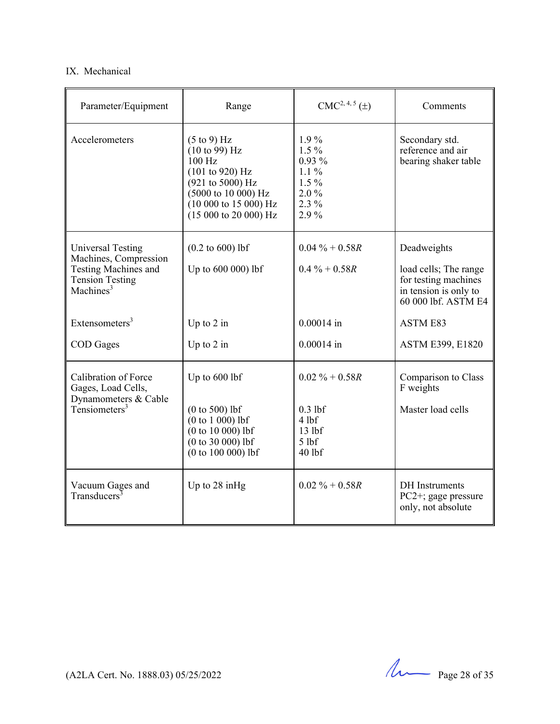#### IX. Mechanical

| Parameter/Equipment                                                                                                                 | Range                                                                                                                                                                                       | $CMC2, 4, 5(\pm)$                                                                   | Comments                                                                                                     |
|-------------------------------------------------------------------------------------------------------------------------------------|---------------------------------------------------------------------------------------------------------------------------------------------------------------------------------------------|-------------------------------------------------------------------------------------|--------------------------------------------------------------------------------------------------------------|
| Accelerometers                                                                                                                      | $(5 \text{ to } 9)$ Hz<br>$(10 \text{ to } 99)$ Hz<br>100 Hz<br>(101 to 920) Hz<br>(921 to 5000) Hz<br>(5000 to 10 000) Hz<br>(10000 to 15000) Hz<br>$(15000 \text{ to } 20000) \text{ Hz}$ | $1.9\%$<br>$1.5\%$<br>$0.93\%$<br>$1.1\%$<br>$1.5\%$<br>$2.0\%$<br>$2.3\%$<br>2.9%  | Secondary std.<br>reference and air<br>bearing shaker table                                                  |
| <b>Universal Testing</b><br>Machines, Compression<br><b>Testing Machines and</b><br><b>Tension Testing</b><br>Machines <sup>3</sup> | $(0.2 \text{ to } 600)$ lbf<br>Up to 600 000) lbf                                                                                                                                           | $0.04\% + 0.58R$<br>$0.4\% + 0.58R$                                                 | Deadweights<br>load cells; The range<br>for testing machines<br>in tension is only to<br>60 000 lbf. ASTM E4 |
| Extensometers $3$                                                                                                                   | Up to $2$ in                                                                                                                                                                                | $0.00014$ in                                                                        | <b>ASTM E83</b>                                                                                              |
| <b>COD</b> Gages                                                                                                                    | Up to $2$ in                                                                                                                                                                                | $0.00014$ in                                                                        | ASTM E399, E1820                                                                                             |
| Calibration of Force<br>Gages, Load Cells,<br>Dynamometers & Cable<br>Tensiometers $3$                                              | Up to 600 lbf<br>$(0 to 500)$ lbf<br>$(0 to 1 000)$ lbf<br>$(0 to 10 000)$ lbf<br>$(0 to 30 000)$ lbf<br>$(0 to 100 000)$ lbf                                                               | $0.02 \% + 0.58R$<br>$0.3$ lbf<br>$4$ lbf<br>13 <sub>1</sub><br>$5$ lbf<br>$40$ lbf | Comparison to Class<br>F weights<br>Master load cells                                                        |
| Vacuum Gages and<br>Transducers <sup>3</sup>                                                                                        | Up to $28$ in Hg                                                                                                                                                                            | $0.02 \% + 0.58R$                                                                   | <b>DH</b> Instruments<br>$PC2+$ ; gage pressure<br>only, not absolute                                        |

(A2LA Cert. No. 1888.03) 05/25/2022 Page 28 of 35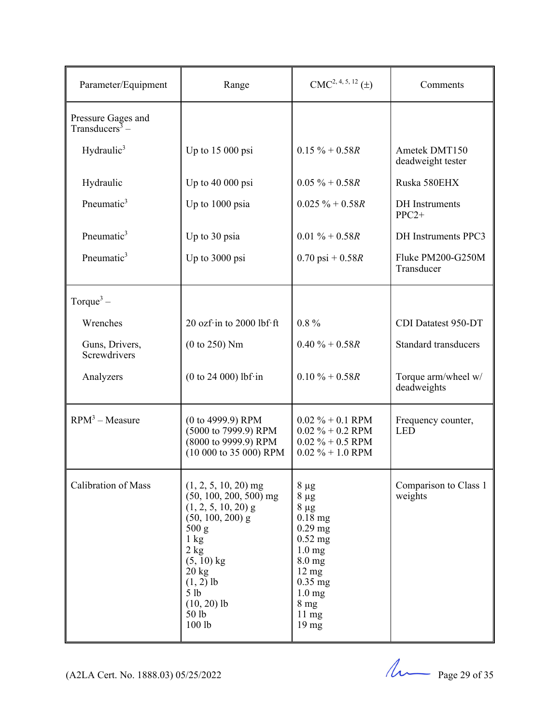| Parameter/Equipment                                           | Range                                                                                                                                                                                                                                         | $CMC2, 4, 5, 12 (\pm)$                                                                                                                                                                                        | Comments                           |
|---------------------------------------------------------------|-----------------------------------------------------------------------------------------------------------------------------------------------------------------------------------------------------------------------------------------------|---------------------------------------------------------------------------------------------------------------------------------------------------------------------------------------------------------------|------------------------------------|
| Pressure Gages and<br>Transducers <sup><math>3</math></sup> – |                                                                                                                                                                                                                                               |                                                                                                                                                                                                               |                                    |
| Hydraulic <sup>3</sup>                                        | Up to $15000$ psi                                                                                                                                                                                                                             | $0.15 \% + 0.58R$                                                                                                                                                                                             | Ametek DMT150<br>deadweight tester |
| Hydraulic                                                     | Up to 40 000 psi                                                                                                                                                                                                                              | $0.05 \% + 0.58R$                                                                                                                                                                                             | Ruska 580EHX                       |
| Pneumatic <sup>3</sup>                                        | Up to 1000 psia                                                                                                                                                                                                                               | $0.025 \% + 0.58R$                                                                                                                                                                                            | <b>DH</b> Instruments<br>$PPC2+$   |
| Pneumatic <sup>3</sup>                                        | Up to 30 psia                                                                                                                                                                                                                                 | $0.01 \% + 0.58R$                                                                                                                                                                                             | DH Instruments PPC3                |
| Pneumatic <sup>3</sup>                                        | Up to 3000 psi                                                                                                                                                                                                                                | $0.70 \text{ psi} + 0.58R$                                                                                                                                                                                    | Fluke PM200-G250M<br>Transducer    |
| Torque $3-$                                                   |                                                                                                                                                                                                                                               |                                                                                                                                                                                                               |                                    |
| Wrenches                                                      | 20 ozf $\cdot$ in to 2000 lbf $\cdot$ ft                                                                                                                                                                                                      | $0.8\%$                                                                                                                                                                                                       | CDI Datatest 950-DT                |
| Guns, Drivers,<br>Screwdrivers                                | (0 to 250) Nm                                                                                                                                                                                                                                 | $0.40 \% + 0.58R$                                                                                                                                                                                             | <b>Standard transducers</b>        |
| Analyzers                                                     | (0 to 24 000) lbf·in                                                                                                                                                                                                                          | $0.10 \% + 0.58R$                                                                                                                                                                                             | Torque arm/wheel w/<br>deadweights |
| $RPM3 - Measure$                                              | (0 to 4999.9) RPM<br>(5000 to 7999.9) RPM<br>(8000 to 9999.9) RPM<br>(10 000 to 35 000) RPM                                                                                                                                                   | $0.02 \% + 0.1$ RPM<br>$0.02 \% + 0.2$ RPM<br>$0.02 \% + 0.5$ RPM<br>$0.02 \% + 1.0$ RPM                                                                                                                      | Frequency counter,<br><b>LED</b>   |
| Calibration of Mass                                           | $(1, 2, 5, 10, 20)$ mg<br>$(50, 100, 200, 500)$ mg<br>$(1, 2, 5, 10, 20)$ g<br>$(50, 100, 200)$ g<br>500 g<br>$1 \text{ kg}$<br>2 kg<br>$(5, 10)$ kg<br>$20 \text{ kg}$<br>$(1, 2)$ lb<br>5 <sub>1b</sub><br>$(10, 20)$ lb<br>50 lb<br>100 lb | $8 \mu g$<br>$8 \mu g$<br>$8 \mu g$<br>$0.18$ mg<br>$0.29$ mg<br>$0.52$ mg<br>$1.0 \text{ mg}$<br>$8.0$ mg<br>$12 \text{ mg}$<br>$0.35$ mg<br>$1.0 \text{ mg}$<br>8 <sub>mg</sub><br>11 mg<br>$19 \text{ mg}$ | Comparison to Class 1<br>weights   |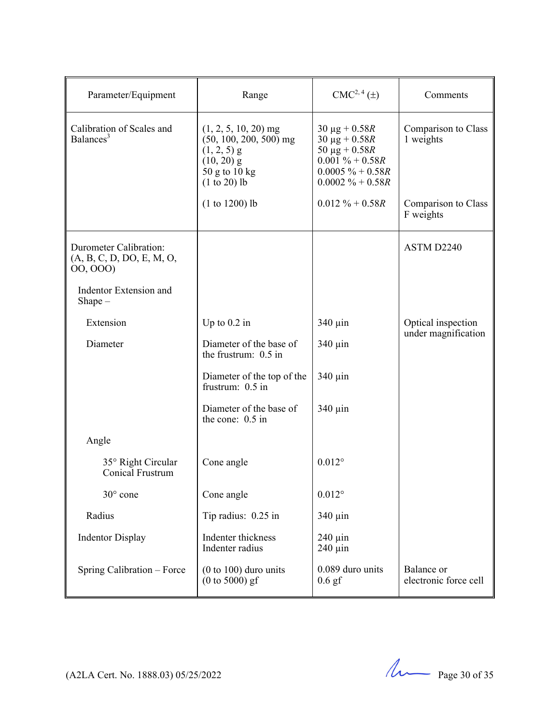| Parameter/Equipment                                            | Range                                                                                                                  | CMC <sup>2, 4</sup> (±)                                                                                                             | Comments                            |
|----------------------------------------------------------------|------------------------------------------------------------------------------------------------------------------------|-------------------------------------------------------------------------------------------------------------------------------------|-------------------------------------|
| Calibration of Scales and<br>Balances <sup>3</sup>             | $(1, 2, 5, 10, 20)$ mg<br>$(50, 100, 200, 500)$ mg<br>$(1, 2, 5)$ g<br>$(10, 20)$ g<br>50 g to 10 kg<br>$(1 to 20)$ lb | $30 \mu g + 0.58R$<br>$30 \mu g + 0.58 R$<br>$50 \mu g + 0.58R$<br>$0.001 \% + 0.58R$<br>$0.0005 \% + 0.58R$<br>$0.0002 \% + 0.58R$ | Comparison to Class<br>1 weights    |
|                                                                | $(1 to 1200)$ lb                                                                                                       | $0.012 \% + 0.58R$                                                                                                                  | Comparison to Class<br>F weights    |
| Durometer Calibration:<br>(A, B, C, D, DO, E, M, O,<br>00,000) |                                                                                                                        |                                                                                                                                     | ASTM D2240                          |
| Indentor Extension and<br>$Shape -$                            |                                                                                                                        |                                                                                                                                     |                                     |
| Extension                                                      | Up to $0.2$ in                                                                                                         | 340 µin                                                                                                                             | Optical inspection                  |
| Diameter                                                       | Diameter of the base of<br>the frustrum: $0.5$ in                                                                      | $340 \mu$ in                                                                                                                        | under magnification                 |
|                                                                | Diameter of the top of the<br>frustrum: 0.5 in                                                                         | 340 µin                                                                                                                             |                                     |
|                                                                | Diameter of the base of<br>the cone: 0.5 in                                                                            | $340 \mu$ in                                                                                                                        |                                     |
| Angle                                                          |                                                                                                                        |                                                                                                                                     |                                     |
| 35° Right Circular<br>Conical Frustrum                         | Cone angle                                                                                                             | $0.012^{\circ}$                                                                                                                     |                                     |
| 30° cone                                                       | Cone angle                                                                                                             | $0.012^{\circ}$                                                                                                                     |                                     |
| Radius                                                         | Tip radius: 0.25 in                                                                                                    | $340 \mu$ in                                                                                                                        |                                     |
| <b>Indentor Display</b>                                        | Indenter thickness<br>Indenter radius                                                                                  | $240 \mu$ in<br>$240 \mu$ in                                                                                                        |                                     |
| Spring Calibration - Force                                     | $(0 to 100)$ duro units<br>$(0 to 5000)$ gf                                                                            | 0.089 duro units<br>$0.6$ gf                                                                                                        | Balance or<br>electronic force cell |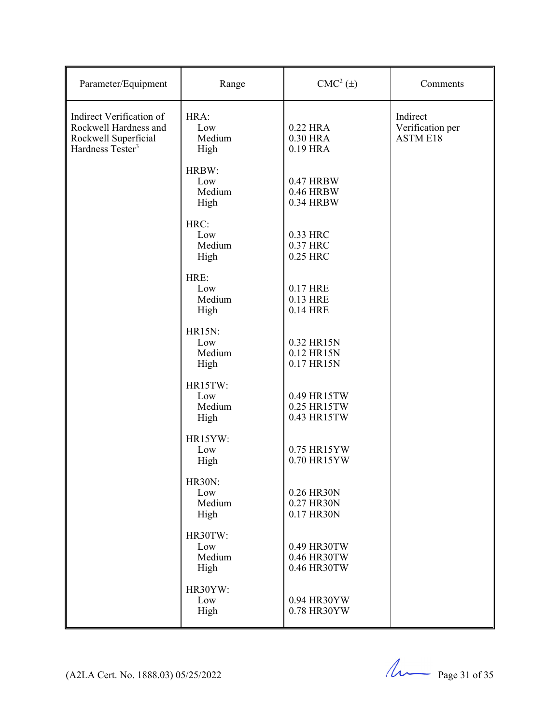| Parameter/Equipment                                                                                       | Range                                  | $CMC2(\pm)$                               | Comments                                        |
|-----------------------------------------------------------------------------------------------------------|----------------------------------------|-------------------------------------------|-------------------------------------------------|
| Indirect Verification of<br>Rockwell Hardness and<br>Rockwell Superficial<br>Hardness Tester <sup>3</sup> | HRA:<br>Low<br>Medium<br>High          | 0.22 HRA<br>0.30 HRA<br>0.19 HRA          | Indirect<br>Verification per<br><b>ASTM E18</b> |
|                                                                                                           | HRBW:<br>Low<br>Medium<br>High         | 0.47 HRBW<br>0.46 HRBW<br>0.34 HRBW       |                                                 |
|                                                                                                           | HRC:<br>Low<br>Medium<br>High          | 0.33 HRC<br>0.37 HRC<br>0.25 HRC          |                                                 |
|                                                                                                           | HRE:<br>Low<br>Medium<br>High          | 0.17 HRE<br>0.13 HRE<br>0.14 HRE          |                                                 |
|                                                                                                           | <b>HR15N:</b><br>Low<br>Medium<br>High | 0.32 HR15N<br>0.12 HR15N<br>0.17 HR15N    |                                                 |
|                                                                                                           | HR15TW:<br>Low<br>Medium<br>High       | 0.49 HR15TW<br>0.25 HR15TW<br>0.43 HR15TW |                                                 |
|                                                                                                           | HR15YW:<br>Low<br>High                 | 0.75 HR15YW<br>0.70 HR15YW                |                                                 |
|                                                                                                           | <b>HR30N:</b><br>Low<br>Medium<br>High | 0.26 HR30N<br>0.27 HR30N<br>0.17 HR30N    |                                                 |
|                                                                                                           | HR30TW:<br>Low<br>Medium<br>High       | 0.49 HR30TW<br>0.46 HR30TW<br>0.46 HR30TW |                                                 |
|                                                                                                           | HR30YW:<br>Low<br>High                 | 0.94 HR30YW<br>0.78 HR30YW                |                                                 |

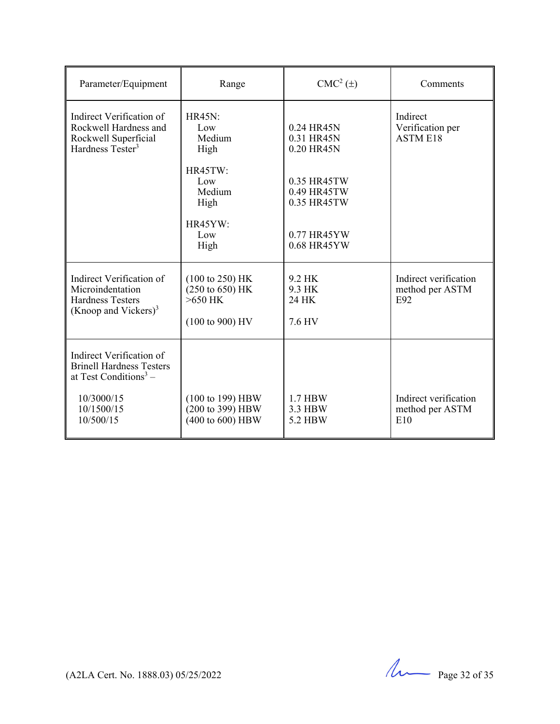| Parameter/Equipment                                                                                         | Range                                                                                               | CMC <sup>2</sup> (±)                      | Comments                                        |
|-------------------------------------------------------------------------------------------------------------|-----------------------------------------------------------------------------------------------------|-------------------------------------------|-------------------------------------------------|
| Indirect Verification of<br>Rockwell Hardness and<br>Rockwell Superficial<br>Hardness Tester <sup>3</sup>   | <b>HR45N:</b><br>Low<br>Medium<br>High                                                              | 0.24 HR45N<br>0.31 HR45N<br>0.20 HR45N    | Indirect<br>Verification per<br><b>ASTM E18</b> |
|                                                                                                             | HR45TW:<br>Low<br>Medium<br>High                                                                    | 0.35 HR45TW<br>0.49 HR45TW<br>0.35 HR45TW |                                                 |
|                                                                                                             | HR45YW:<br>Low<br>High                                                                              | 0.77 HR45YW<br>0.68 HR45YW                |                                                 |
| Indirect Verification of<br>Microindentation<br><b>Hardness Testers</b><br>(Knoop and Vickers) <sup>3</sup> | $(100 \text{ to } 250)$ HK<br>$(250 \text{ to } 650)$ HK<br>$>650$ HK<br>$(100 \text{ to } 900)$ HV | 9.2 HK<br>9.3 HK<br>24 HK<br>7.6 HV       | Indirect verification<br>method per ASTM<br>E92 |
| Indirect Verification of<br><b>Brinell Hardness Testers</b><br>at Test Conditions <sup>3</sup> –            |                                                                                                     |                                           |                                                 |
| 10/3000/15<br>10/1500/15<br>10/500/15                                                                       | (100 to 199) HBW<br>(200 to 399) HBW<br>(400 to 600) HBW                                            | 1.7 HBW<br>3.3 HBW<br>5.2 HBW             | Indirect verification<br>method per ASTM<br>E10 |

 $(122A$  Cert. No. 1888.03) 05/25/2022 Page 32 of 35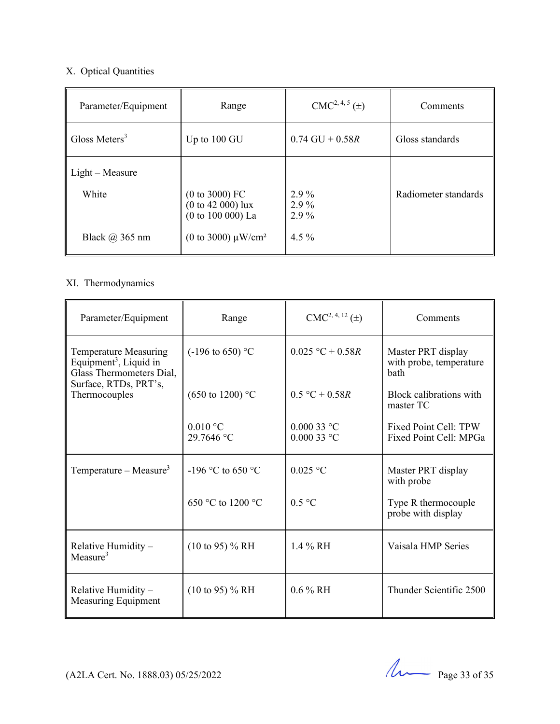# X. Optical Quantities

| Parameter/Equipment       | Range                                                      | $CMC2, 4, 5(\pm)$         | Comments             |
|---------------------------|------------------------------------------------------------|---------------------------|----------------------|
| Gloss Meters <sup>3</sup> | Up to 100 GU                                               | $0.74 \text{ GU} + 0.58R$ | Gloss standards      |
| $Light-Measure$<br>White  | $(0 to 3000)$ FC<br>$(0 to 42 000)$ lux                    | $2.9\%$<br>$2.9\%$        | Radiometer standards |
| Black @ 365 nm            | $(0 to 100 000)$ La<br>(0 to 3000) $\mu$ W/cm <sup>2</sup> | $2.9\%$<br>$4.5\%$        |                      |

# XI. Thermodynamics

| Parameter/Equipment                                                                                                                      | Range                       | $CMC2, 4, 12 (\pm)$          | Comments                                                     |
|------------------------------------------------------------------------------------------------------------------------------------------|-----------------------------|------------------------------|--------------------------------------------------------------|
| <b>Temperature Measuring</b><br>Equipment <sup>3</sup> , Liquid in<br>Glass Thermometers Dial,<br>Surface, RTDs, PRT's,<br>Thermocouples | $(-196 \text{ to } 650)$ °C | $0.025 °C + 0.58R$           | Master PRT display<br>with probe, temperature<br><b>bath</b> |
|                                                                                                                                          | $(650 \text{ to } 1200)$ °C | $0.5 °C + 0.58R$             | Block calibrations with<br>master TC                         |
|                                                                                                                                          | $0.010$ °C<br>29.7646 °C    | $0.00033$ °C<br>$0.00033$ °C | Fixed Point Cell: TPW<br>Fixed Point Cell: MPGa              |
| Temperature – Measure <sup>3</sup>                                                                                                       | $-196$ °C to 650 °C         | $0.025$ °C                   | Master PRT display<br>with probe                             |
|                                                                                                                                          | 650 °C to 1200 °C           | 0.5 °C                       | Type R thermocouple<br>probe with display                    |
| Relative Humidity -<br>Measure <sup>3</sup>                                                                                              | $(10 \text{ to } 95)$ % RH  | 1.4 % RH                     | Vaisala HMP Series                                           |
| Relative Humidity -<br>Measuring Equipment                                                                                               | $(10 \text{ to } 95)$ % RH  | $0.6\%$ RH                   | Thunder Scientific 2500                                      |

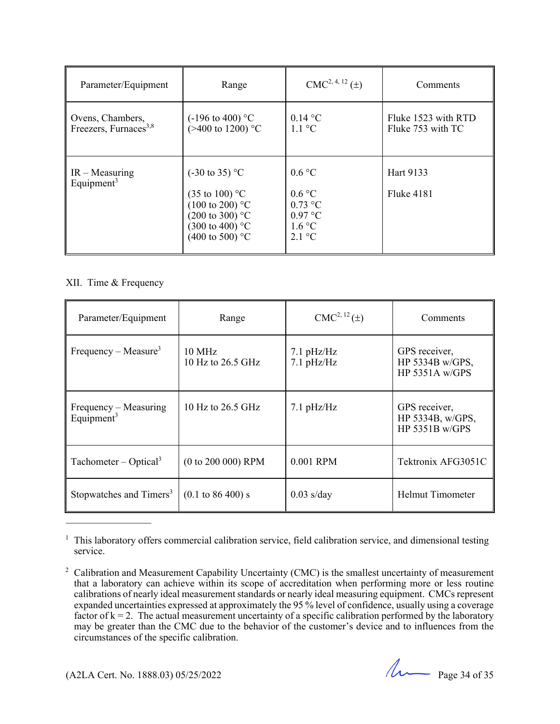| Parameter/Equipment                                   | Range                                                                                                                                                                          | $CMC2, 4, 12(\pm)$                                                                      | Comments                                 |
|-------------------------------------------------------|--------------------------------------------------------------------------------------------------------------------------------------------------------------------------------|-----------------------------------------------------------------------------------------|------------------------------------------|
| Ovens, Chambers,<br>Freezers, Furnaces <sup>3,8</sup> | $(-196 \text{ to } 400)$ °C<br>$(>400 \text{ to } 1200)$ °C                                                                                                                    | $0.14\text{ °C}$<br>$1.1 \text{ }^{\circ}C$                                             | Fluke 1523 with RTD<br>Fluke 753 with TC |
| $IR - Measuring$<br>Equipment <sup>3</sup>            | $(-30 \text{ to } 35)$ °C<br>$(35 \text{ to } 100)$ °C<br>$(100 \text{ to } 200)$ °C<br>$(200 \text{ to } 300)$ °C<br>$(300 \text{ to } 400)$ °C<br>$(400 \text{ to } 500)$ °C | $0.6\degree C$<br>0.6 °C<br>$0.73$ °C<br>$0.97$ °C<br>1.6 °C<br>$2.1 \text{ }^{\circ}C$ | Hart 9133<br><b>Fluke 4181</b>           |

#### XII. Time & Frequency

| Parameter/Equipment                             | Range                                   | CMC <sup>2, 12</sup> (±)   | Comments                                              |
|-------------------------------------------------|-----------------------------------------|----------------------------|-------------------------------------------------------|
| Frequency – Measure <sup>3</sup>                | $10 \text{ MHz}$<br>10 Hz to $26.5$ GHz | $7.1$ pHz/Hz<br>7.1 pHz/Hz | GPS receiver,<br>HP 5334B w/GPS,<br>HP 5351A $w/GPS$  |
| Frequency – Measuring<br>Equipment <sup>3</sup> | 10 Hz to 26.5 GHz                       | $7.1$ pHz/Hz               | GPS receiver,<br>HP 5334B, w/GPS,<br>HP $5351B$ w/GPS |
| Tachometer – Optical <sup>3</sup>               | $(0 to 200 000)$ RPM                    | 0.001 RPM                  | Tektronix AFG3051C                                    |
| Stopwatches and Timers <sup>3</sup>             | $(0.1 \text{ to } 86\,400) \text{ s}$   | $0.03$ s/day               | <b>Helmut Timometer</b>                               |

<sup>&</sup>lt;sup>1</sup> This laboratory offers commercial calibration service, field calibration service, and dimensional testing service.

(A2LA Cert. No. 1888.03) 05/25/2022 Page 34 of 35

<sup>&</sup>lt;sup>2</sup> Calibration and Measurement Capability Uncertainty (CMC) is the smallest uncertainty of measurement that a laboratory can achieve within its scope of accreditation when performing more or less routine calibrations of nearly ideal measurement standards or nearly ideal measuring equipment. CMCs represent expanded uncertainties expressed at approximately the 95 % level of confidence, usually using a coverage factor of  $k = 2$ . The actual measurement uncertainty of a specific calibration performed by the laboratory may be greater than the CMC due to the behavior of the customer's device and to influences from the circumstances of the specific calibration.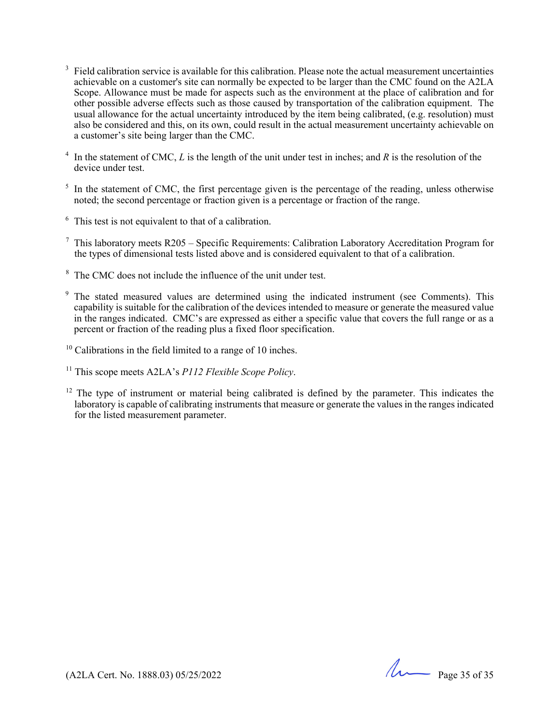- 3 Field calibration service is available for this calibration. Please note the actual measurement uncertainties achievable on a customer's site can normally be expected to be larger than the CMC found on the A2LA Scope. Allowance must be made for aspects such as the environment at the place of calibration and for other possible adverse effects such as those caused by transportation of the calibration equipment. The usual allowance for the actual uncertainty introduced by the item being calibrated, (e.g. resolution) must also be considered and this, on its own, could result in the actual measurement uncertainty achievable on a customer's site being larger than the CMC.
- 4 In the statement of CMC, *L* is the length of the unit under test in inches; and *R* is the resolution of the device under test.
- $<sup>5</sup>$  In the statement of CMC, the first percentage given is the percentage of the reading, unless otherwise</sup> noted; the second percentage or fraction given is a percentage or fraction of the range.
- $6$  This test is not equivalent to that of a calibration.
- $7$  This laboratory meets R205 Specific Requirements: Calibration Laboratory Accreditation Program for the types of dimensional tests listed above and is considered equivalent to that of a calibration.
- <sup>8</sup> The CMC does not include the influence of the unit under test.
- 9 The stated measured values are determined using the indicated instrument (see Comments). This capability is suitable for the calibration of the devices intended to measure or generate the measured value in the ranges indicated. CMC's are expressed as either a specific value that covers the full range or as a percent or fraction of the reading plus a fixed floor specification.
- $10$  Calibrations in the field limited to a range of 10 inches.
- 11 This scope meets A2LA's *P112 Flexible Scope Policy*.
- $12$  The type of instrument or material being calibrated is defined by the parameter. This indicates the laboratory is capable of calibrating instruments that measure or generate the values in the ranges indicated for the listed measurement parameter.

(A2LA Cert. No. 1888.03) 05/25/2022 Page 35 of 35